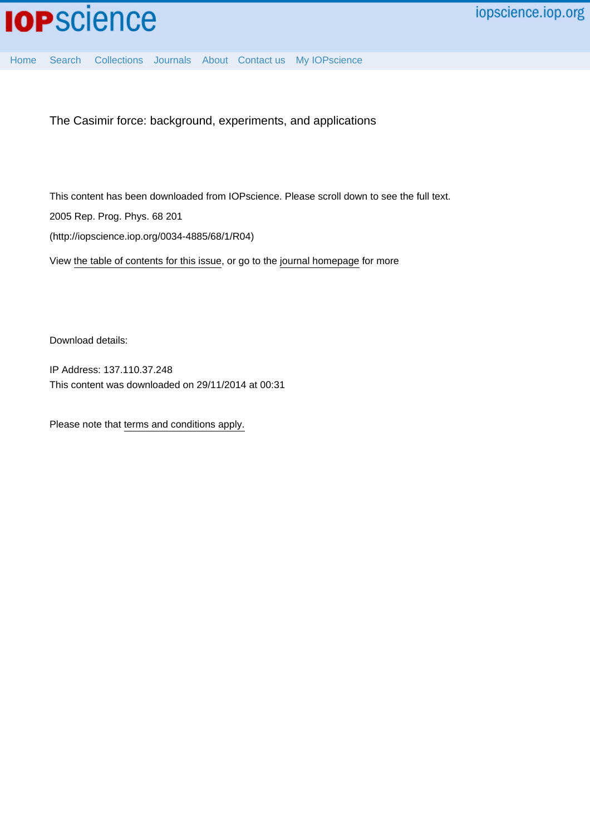[Home](http://iopscience.iop.org/) [Search](http://iopscience.iop.org/search) [Collections](http://iopscience.iop.org/collections) [Journals](http://iopscience.iop.org/journals) [About](http://iopscience.iop.org/page/aboutioppublishing) [Contact us](http://iopscience.iop.org/contact) [My IOPscience](http://iopscience.iop.org/myiopscience)

The Casimir force: background, experiments, and applications

This content has been downloaded from IOPscience. Please scroll down to see the full text. 2005 Rep. Prog. Phys. 68 201 (http://iopscience.iop.org/0034-4885/68/1/R04)

View [the table of contents for this issue](http://iopscience.iop.org/0034-4885/68/1), or go to the [journal homepage](http://iopscience.iop.org/0034-4885) for more

Download details:

IP Address: 137.110.37.248 This content was downloaded on 29/11/2014 at 00:31

Please note that [terms and conditions apply.](iopscience.iop.org/page/terms)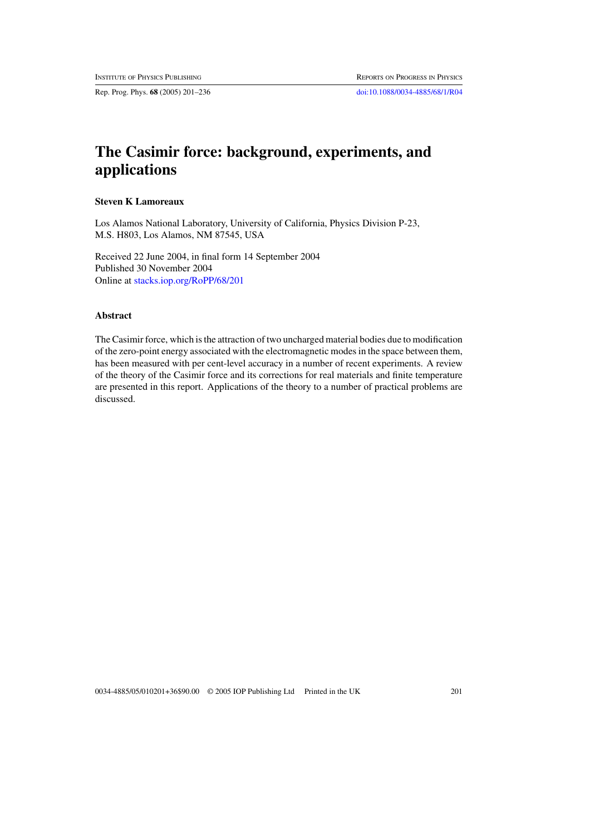Rep. Prog. Phys. **68** (2005) 201–236 [doi:10.1088/0034-4885/68/1/R04](http://dx.doi.org/10.1088/0034-4885/68/1/R04)

# **The Casimir force: background, experiments, and applications**

# **Steven K Lamoreaux**

Los Alamos National Laboratory, University of California, Physics Division P-23, M.S. H803, Los Alamos, NM 87545, USA

Received 22 June 2004, in final form 14 September 2004 Published 30 November 2004 Online at [stacks.iop.org/RoPP/68/201](http://stacks.iop.org/rp/68/201)

# **Abstract**

The Casimir force, which is the attraction of two uncharged material bodies due to modification of the zero-point energy associated with the electromagnetic modes in the space between them, has been measured with per cent-level accuracy in a number of recent experiments. A review of the theory of the Casimir force and its corrections for real materials and finite temperature are presented in this report. Applications of the theory to a number of practical problems are discussed.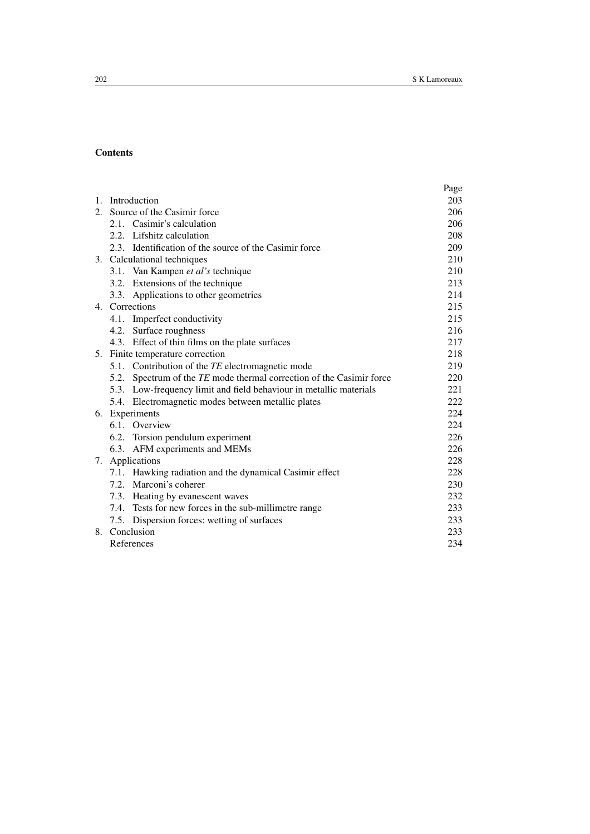# **Contents**

|         |                                  |                                                                      | Page |
|---------|----------------------------------|----------------------------------------------------------------------|------|
|         |                                  | 1. Introduction                                                      |      |
| $2^{1}$ | Source of the Casimir force      |                                                                      | 206  |
|         |                                  | 2.1. Casimir's calculation                                           | 206  |
|         |                                  | 2.2. Lifshitz calculation                                            | 208  |
|         |                                  | 2.3. Identification of the source of the Casimir force               | 209  |
|         | 3. Calculational techniques      |                                                                      | 210  |
|         |                                  | 3.1. Van Kampen et al's technique                                    | 210  |
|         |                                  | 3.2. Extensions of the technique                                     | 213  |
|         |                                  | 3.3. Applications to other geometries                                | 214  |
|         | 4. Corrections                   |                                                                      | 215  |
|         |                                  | 4.1. Imperfect conductivity                                          | 215  |
|         |                                  | 4.2. Surface roughness                                               | 216  |
|         |                                  | 4.3. Effect of thin films on the plate surfaces                      | 217  |
|         | 5. Finite temperature correction |                                                                      | 218  |
|         |                                  | 5.1. Contribution of the TE electromagnetic mode                     | 219  |
|         |                                  | 5.2. Spectrum of the TE mode thermal correction of the Casimir force | 220  |
|         |                                  | 5.3. Low-frequency limit and field behaviour in metallic materials   | 221  |
|         |                                  | 5.4. Electromagnetic modes between metallic plates                   | 222  |
|         | 6. Experiments                   |                                                                      | 224  |
|         |                                  | 6.1. Overview                                                        | 224  |
|         |                                  | 6.2. Torsion pendulum experiment                                     | 226  |
|         |                                  | 6.3. AFM experiments and MEMs                                        | 226  |
|         | 7. Applications                  |                                                                      | 228  |
|         |                                  | 7.1. Hawking radiation and the dynamical Casimir effect              | 228  |
|         |                                  | 7.2. Marconi's coherer                                               | 230  |
|         |                                  | 7.3. Heating by evanescent waves                                     | 232  |
|         |                                  | 7.4. Tests for new forces in the sub-millimetre range                | 233  |
|         |                                  | 7.5. Dispersion forces: wetting of surfaces                          | 233  |
| 8.      | Conclusion                       |                                                                      | 233  |
|         | References                       |                                                                      | 234  |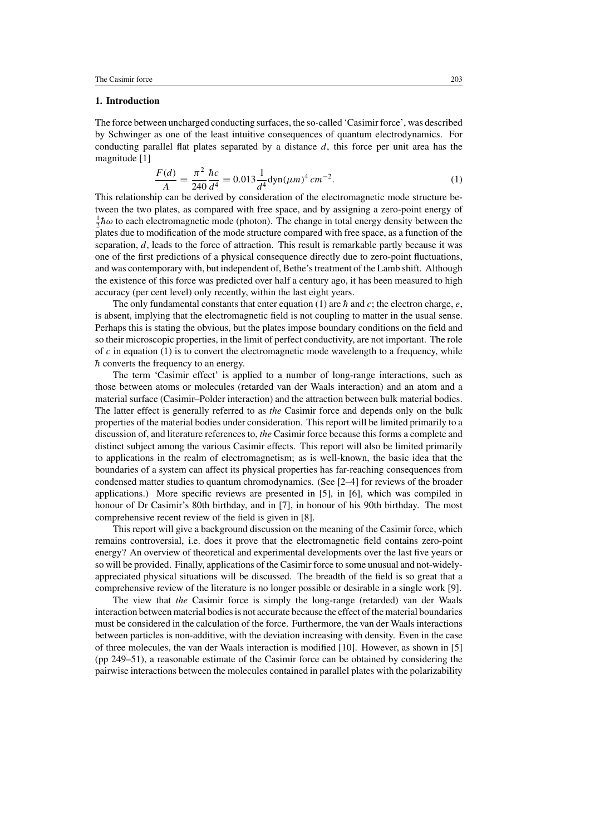# **1. Introduction**

The force between uncharged conducting surfaces, the so-called 'Casimir force', was described by Schwinger as one of the least intuitive consequences of quantum electrodynamics. For conducting parallel flat plates separated by a distance *d*, this force per unit area has the magnitude [1]

$$
\frac{F(d)}{A} = \frac{\pi^2}{240} \frac{hc}{d^4} = 0.013 \frac{1}{d^4} \text{dyn}(\mu m)^4 \, cm^{-2}.
$$
 (1)

This relationship can be derived by consideration of the electromagnetic mode structure between the two plates, as compared with free space, and by assigning a zero-point energy of  $\frac{1}{2}\hbar\omega$  to each electromagnetic mode (photon). The change in total energy density between the plates due to modification of the mode structure compared with free space, as a function of the separation, *d*, leads to the force of attraction. This result is remarkable partly because it was one of the first predictions of a physical consequence directly due to zero-point fluctuations, and was contemporary with, but independent of, Bethe's treatment of the Lamb shift. Although the existence of this force was predicted over half a century ago, it has been measured to high accuracy (per cent level) only recently, within the last eight years.

The only fundamental constants that enter equation (1) are  $\hbar$  and  $c$ ; the electron charge,  $e$ , is absent, implying that the electromagnetic field is not coupling to matter in the usual sense. Perhaps this is stating the obvious, but the plates impose boundary conditions on the field and so their microscopic properties, in the limit of perfect conductivity, are not important. The role of  $c$  in equation (1) is to convert the electromagnetic mode wavelength to a frequency, while  $h$  converts the frequency to an energy.

The term 'Casimir effect' is applied to a number of long-range interactions, such as those between atoms or molecules (retarded van der Waals interaction) and an atom and a material surface (Casimir–Polder interaction) and the attraction between bulk material bodies. The latter effect is generally referred to as *the* Casimir force and depends only on the bulk properties of the material bodies under consideration. This report will be limited primarily to a discussion of, and literature references to, *the* Casimir force because this forms a complete and distinct subject among the various Casimir effects. This report will also be limited primarily to applications in the realm of electromagnetism; as is well-known, the basic idea that the boundaries of a system can affect its physical properties has far-reaching consequences from condensed matter studies to quantum chromodynamics. (See [2–4] for reviews of the broader applications.) More specific reviews are presented in [5], in [6], which was compiled in honour of Dr Casimir's 80th birthday, and in [7], in honour of his 90th birthday. The most comprehensive recent review of the field is given in [8].

This report will give a background discussion on the meaning of the Casimir force, which remains controversial, i.e. does it prove that the electromagnetic field contains zero-point energy? An overview of theoretical and experimental developments over the last five years or so will be provided. Finally, applications of the Casimir force to some unusual and not-widelyappreciated physical situations will be discussed. The breadth of the field is so great that a comprehensive review of the literature is no longer possible or desirable in a single work [9].

The view that *the* Casimir force is simply the long-range (retarded) van der Waals interaction between material bodies is not accurate because the effect of the material boundaries must be considered in the calculation of the force. Furthermore, the van der Waals interactions between particles is non-additive, with the deviation increasing with density. Even in the case of three molecules, the van der Waals interaction is modified [10]. However, as shown in [5] (pp 249–51), a reasonable estimate of the Casimir force can be obtained by considering the pairwise interactions between the molecules contained in parallel plates with the polarizability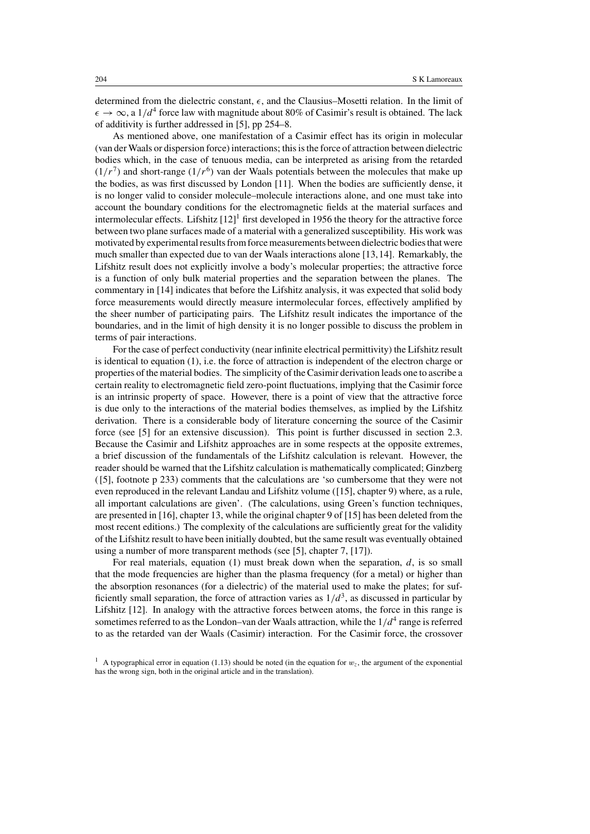determined from the dielectric constant,  $\epsilon$ , and the Clausius–Mosetti relation. In the limit of  $\epsilon \to \infty$ , a 1/d<sup>4</sup> force law with magnitude about 80% of Casimir's result is obtained. The lack of additivity is further addressed in [5], pp 254–8.

As mentioned above, one manifestation of a Casimir effect has its origin in molecular (van der Waals or dispersion force) interactions; this is the force of attraction between dielectric bodies which, in the case of tenuous media, can be interpreted as arising from the retarded  $(1/r<sup>7</sup>)$  and short-range  $(1/r<sup>6</sup>)$  van der Waals potentials between the molecules that make up the bodies, as was first discussed by London [11]. When the bodies are sufficiently dense, it is no longer valid to consider molecule–molecule interactions alone, and one must take into account the boundary conditions for the electromagnetic fields at the material surfaces and intermolecular effects. Lifshitz  $[12]$ <sup>1</sup> first developed in 1956 the theory for the attractive force between two plane surfaces made of a material with a generalized susceptibility. His work was motivated by experimental results from force measurements between dielectric bodies that were much smaller than expected due to van der Waals interactions alone [13,14]. Remarkably, the Lifshitz result does not explicitly involve a body's molecular properties; the attractive force is a function of only bulk material properties and the separation between the planes. The commentary in [14] indicates that before the Lifshitz analysis, it was expected that solid body force measurements would directly measure intermolecular forces, effectively amplified by the sheer number of participating pairs. The Lifshitz result indicates the importance of the boundaries, and in the limit of high density it is no longer possible to discuss the problem in terms of pair interactions.

For the case of perfect conductivity (near infinite electrical permittivity) the Lifshitz result is identical to equation (1), i.e. the force of attraction is independent of the electron charge or properties of the material bodies. The simplicity of the Casimir derivation leads one to ascribe a certain reality to electromagnetic field zero-point fluctuations, implying that the Casimir force is an intrinsic property of space. However, there is a point of view that the attractive force is due only to the interactions of the material bodies themselves, as implied by the Lifshitz derivation. There is a considerable body of literature concerning the source of the Casimir force (see [5] for an extensive discussion). This point is further discussed in section 2.3. Because the Casimir and Lifshitz approaches are in some respects at the opposite extremes, a brief discussion of the fundamentals of the Lifshitz calculation is relevant. However, the reader should be warned that the Lifshitz calculation is mathematically complicated; Ginzberg ([5], footnote p 233) comments that the calculations are 'so cumbersome that they were not even reproduced in the relevant Landau and Lifshitz volume ([15], chapter 9) where, as a rule, all important calculations are given'. (The calculations, using Green's function techniques, are presented in [16], chapter 13, while the original chapter 9 of [15] has been deleted from the most recent editions.) The complexity of the calculations are sufficiently great for the validity of the Lifshitz result to have been initially doubted, but the same result was eventually obtained using a number of more transparent methods (see [5], chapter 7, [17]).

For real materials, equation (1) must break down when the separation, *d*, is so small that the mode frequencies are higher than the plasma frequency (for a metal) or higher than the absorption resonances (for a dielectric) of the material used to make the plates; for sufficiently small separation, the force of attraction varies as  $1/d<sup>3</sup>$ , as discussed in particular by Lifshitz [12]. In analogy with the attractive forces between atoms, the force in this range is sometimes referred to as the London–van der Waals attraction, while the  $1/d<sup>4</sup>$  range is referred to as the retarded van der Waals (Casimir) interaction. For the Casimir force, the crossover

<sup>&</sup>lt;sup>1</sup> A typographical error in equation (1.13) should be noted (in the equation for  $w<sub>z</sub>$ , the argument of the exponential has the wrong sign, both in the original article and in the translation).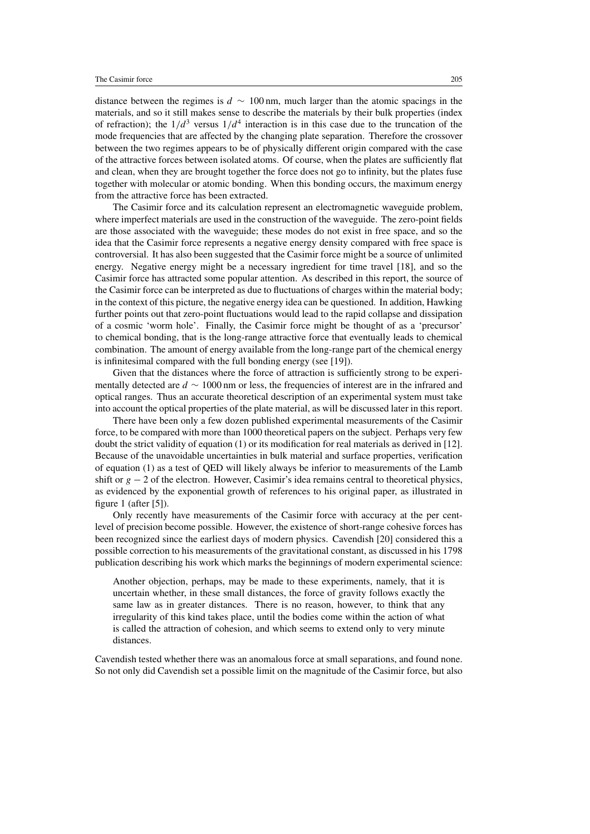distance between the regimes is *d* ∼ 100 nm, much larger than the atomic spacings in the materials, and so it still makes sense to describe the materials by their bulk properties (index of refraction); the  $1/d^3$  versus  $1/d^4$  interaction is in this case due to the truncation of the mode frequencies that are affected by the changing plate separation. Therefore the crossover between the two regimes appears to be of physically different origin compared with the case of the attractive forces between isolated atoms. Of course, when the plates are sufficiently flat and clean, when they are brought together the force does not go to infinity, but the plates fuse together with molecular or atomic bonding. When this bonding occurs, the maximum energy from the attractive force has been extracted.

The Casimir force and its calculation represent an electromagnetic waveguide problem, where imperfect materials are used in the construction of the waveguide. The zero-point fields are those associated with the waveguide; these modes do not exist in free space, and so the idea that the Casimir force represents a negative energy density compared with free space is controversial. It has also been suggested that the Casimir force might be a source of unlimited energy. Negative energy might be a necessary ingredient for time travel [18], and so the Casimir force has attracted some popular attention. As described in this report, the source of the Casimir force can be interpreted as due to fluctuations of charges within the material body; in the context of this picture, the negative energy idea can be questioned. In addition, Hawking further points out that zero-point fluctuations would lead to the rapid collapse and dissipation of a cosmic 'worm hole'. Finally, the Casimir force might be thought of as a 'precursor' to chemical bonding, that is the long-range attractive force that eventually leads to chemical combination. The amount of energy available from the long-range part of the chemical energy is infinitesimal compared with the full bonding energy (see [19]).

Given that the distances where the force of attraction is sufficiently strong to be experimentally detected are *d* ∼ 1000 nm or less, the frequencies of interest are in the infrared and optical ranges. Thus an accurate theoretical description of an experimental system must take into account the optical properties of the plate material, as will be discussed later in this report.

There have been only a few dozen published experimental measurements of the Casimir force, to be compared with more than 1000 theoretical papers on the subject. Perhaps very few doubt the strict validity of equation (1) or its modification for real materials as derived in [12]. Because of the unavoidable uncertainties in bulk material and surface properties, verification of equation (1) as a test of QED will likely always be inferior to measurements of the Lamb shift or  $g - 2$  of the electron. However, Casimir's idea remains central to theoretical physics, as evidenced by the exponential growth of references to his original paper, as illustrated in figure 1 (after [5]).

Only recently have measurements of the Casimir force with accuracy at the per centlevel of precision become possible. However, the existence of short-range cohesive forces has been recognized since the earliest days of modern physics. Cavendish [20] considered this a possible correction to his measurements of the gravitational constant, as discussed in his 1798 publication describing his work which marks the beginnings of modern experimental science:

Another objection, perhaps, may be made to these experiments, namely, that it is uncertain whether, in these small distances, the force of gravity follows exactly the same law as in greater distances. There is no reason, however, to think that any irregularity of this kind takes place, until the bodies come within the action of what is called the attraction of cohesion, and which seems to extend only to very minute distances.

Cavendish tested whether there was an anomalous force at small separations, and found none. So not only did Cavendish set a possible limit on the magnitude of the Casimir force, but also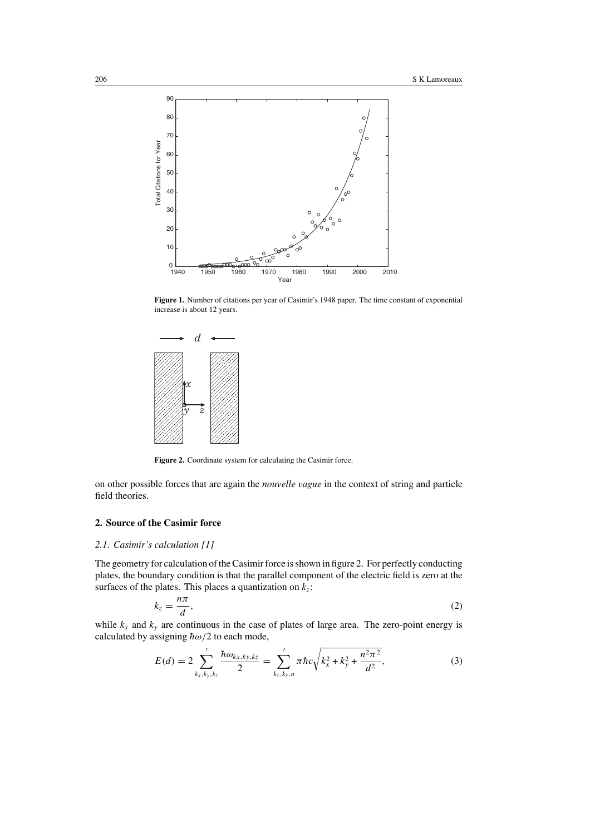

**Figure 1.** Number of citations per year of Casimir's 1948 paper. The time constant of exponential increase is about 12 years.



**Figure 2.** Coordinate system for calculating the Casimir force.

on other possible forces that are again the *nouvelle vague* in the context of string and particle field theories.

# **2. Source of the Casimir force**

## *2.1. Casimir's calculation [1]*

The geometry for calculation of the Casimir force is shown in figure 2. For perfectly conducting plates, the boundary condition is that the parallel component of the electric field is zero at the surfaces of the plates. This places a quantization on  $k_z$ :

$$
k_z = \frac{n\pi}{d},\tag{2}
$$

while  $k_x$  and  $k_y$  are continuous in the case of plates of large area. The zero-point energy is calculated by assigning  $\hbar \omega/2$  to each mode,

$$
E(d) = 2 \sum_{k_x, k_y, k_z}^{\prime} \frac{\hbar \omega_{k_x, k_y, k_z}}{2} = \sum_{k_x, k_y, n}^{\prime} \pi \hbar c \sqrt{k_x^2 + k_y^2 + \frac{n^2 \pi^2}{d^2}},
$$
(3)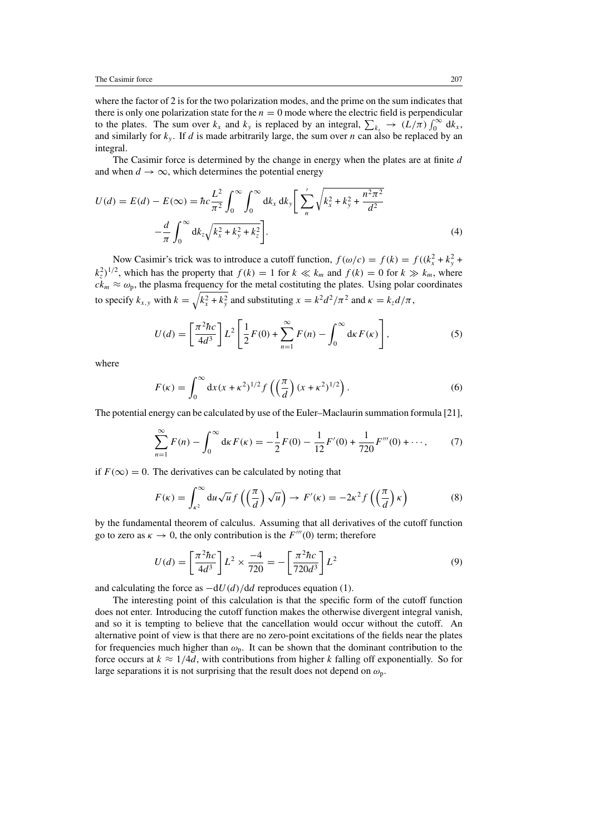where the factor of 2 is for the two polarization modes, and the prime on the sum indicates that there is only one polarization state for the  $n = 0$  mode where the electric field is perpendicular to the plates. The sum over  $k_x$  and  $k_y$  is replaced by an integral,  $\sum_{k_x} \rightarrow (L/\pi) \int_0^\infty dk_x$ , and similarly for  $k_y$ . If *d* is made arbitrarily large, the sum over *n* can also be replaced by an integral.

The Casimir force is determined by the change in energy when the plates are at finite *d* and when  $d \rightarrow \infty$ , which determines the potential energy

$$
U(d) = E(d) - E(\infty) = \hbar c \frac{L^2}{\pi^2} \int_0^{\infty} \int_0^{\infty} dk_x dk_y \left[ \sum_n' \sqrt{k_x^2 + k_y^2 + \frac{n^2 \pi^2}{d^2}} - \frac{d}{\pi} \int_0^{\infty} dk_z \sqrt{k_x^2 + k_y^2 + k_z^2} \right].
$$
\n(4)

Now Casimir's trick was to introduce a cutoff function,  $f(\omega/c) = f(k) = f((k_x^2 + k_y^2 + k_z^2))$  $(k_z^2)^{1/2}$ , which has the property that  $f(k) = 1$  for  $k \ll k_m$  and  $f(k) = 0$  for  $k \gg k_m$ , where  $c\dot{k}_m \approx \omega_p$ , the plasma frequency for the metal costituting the plates. Using polar coordinates to specify  $k_{x,y}$  with  $k = \sqrt{k_x^2 + k_y^2}$  and substituting  $x = k^2 d^2 / \pi^2$  and  $\kappa = k_z d / \pi$ ,

$$
U(d) = \left[\frac{\pi^2 \hbar c}{4d^3}\right] L^2 \left[\frac{1}{2}F(0) + \sum_{n=1}^{\infty} F(n) - \int_0^{\infty} \mathrm{d}\kappa F(\kappa)\right],\tag{5}
$$

where

$$
F(\kappa) = \int_0^\infty dx (x + \kappa^2)^{1/2} f\left(\left(\frac{\pi}{d}\right) (x + \kappa^2)^{1/2}\right).
$$
 (6)

The potential energy can be calculated by use of the Euler–Maclaurin summation formula [21],

$$
\sum_{n=1}^{\infty} F(n) - \int_0^{\infty} \mathrm{d}\kappa F(\kappa) = -\frac{1}{2} F(0) - \frac{1}{12} F'(0) + \frac{1}{720} F'''(0) + \cdots, \tag{7}
$$

if  $F(\infty) = 0$ . The derivatives can be calculated by noting that

$$
F(\kappa) = \int_{\kappa^2}^{\infty} du \sqrt{u} f\left(\left(\frac{\pi}{d}\right) \sqrt{u}\right) \to F'(\kappa) = -2\kappa^2 f\left(\left(\frac{\pi}{d}\right) \kappa\right)
$$
(8)

by the fundamental theorem of calculus. Assuming that all derivatives of the cutoff function go to zero as  $\kappa \to 0$ , the only contribution is the  $F'''(0)$  term; therefore

$$
U(d) = \left[\frac{\pi^2 \hbar c}{4d^3}\right] L^2 \times \frac{-4}{720} = -\left[\frac{\pi^2 \hbar c}{720d^3}\right] L^2
$$
 (9)

and calculating the force as −d*U (d)/*d*d* reproduces equation (1).

The interesting point of this calculation is that the specific form of the cutoff function does not enter. Introducing the cutoff function makes the otherwise divergent integral vanish, and so it is tempting to believe that the cancellation would occur without the cutoff. An alternative point of view is that there are no zero-point excitations of the fields near the plates for frequencies much higher than  $\omega_p$ . It can be shown that the dominant contribution to the force occurs at  $k \approx 1/4d$ , with contributions from higher k falling off exponentially. So for large separations it is not surprising that the result does not depend on *ω*p.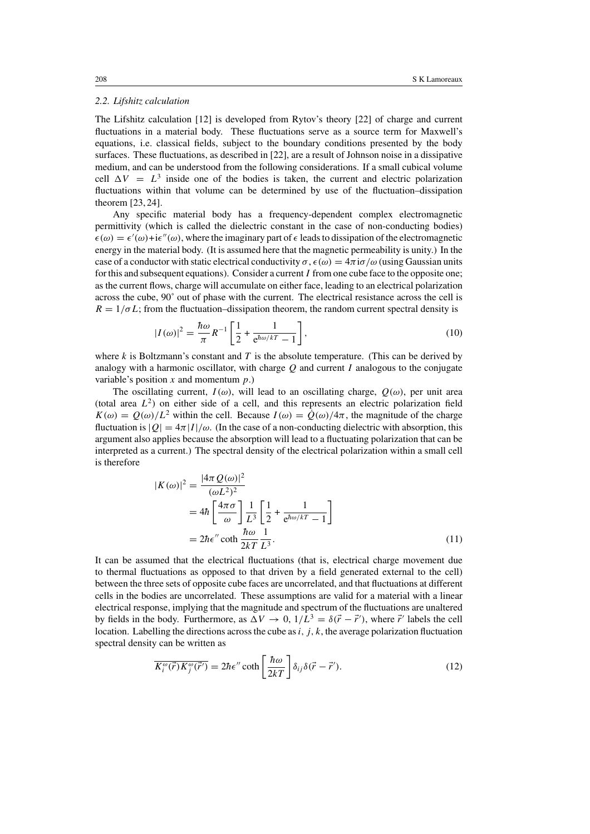#### *2.2. Lifshitz calculation*

The Lifshitz calculation [12] is developed from Rytov's theory [22] of charge and current fluctuations in a material body. These fluctuations serve as a source term for Maxwell's equations, i.e. classical fields, subject to the boundary conditions presented by the body surfaces. These fluctuations, as described in [22], are a result of Johnson noise in a dissipative medium, and can be understood from the following considerations. If a small cubical volume cell  $\Delta V = L^3$  inside one of the bodies is taken, the current and electric polarization fluctuations within that volume can be determined by use of the fluctuation–dissipation theorem [23, 24].

Any specific material body has a frequency-dependent complex electromagnetic permittivity (which is called the dielectric constant in the case of non-conducting bodies)  $\epsilon(\omega) = \epsilon'(\omega) + i\epsilon''(\omega)$ , where the imaginary part of  $\epsilon$  leads to dissipation of the electromagnetic energy in the material body. (It is assumed here that the magnetic permeability is unity.) In the case of a conductor with static electrical conductivity  $\sigma$ ,  $\epsilon(\omega) = 4\pi i \sigma/\omega$  (using Gaussian units for this and subsequent equations). Consider a current *I* from one cube face to the opposite one; as the current flows, charge will accumulate on either face, leading to an electrical polarization across the cube, 90˚ out of phase with the current. The electrical resistance across the cell is  $R = 1/\sigma L$ ; from the fluctuation–dissipation theorem, the random current spectral density is

$$
|I(\omega)|^2 = \frac{\hbar \omega}{\pi} R^{-1} \left[ \frac{1}{2} + \frac{1}{e^{\hbar \omega / kT} - 1} \right],
$$
 (10)

where  $k$  is Boltzmann's constant and  $T$  is the absolute temperature. (This can be derived by analogy with a harmonic oscillator, with charge *Q* and current *I* analogous to the conjugate variable's position *x* and momentum *p*.)

The oscillating current,  $I(\omega)$ , will lead to an oscillating charge,  $O(\omega)$ , per unit area (total area  $L^2$ ) on either side of a cell, and this represents an electric polarization field  $K(\omega) = Q(\omega)/L^2$  within the cell. Because  $I(\omega) = \dot{Q}(\omega)/4\pi$ , the magnitude of the charge fluctuation is  $|Q| = 4\pi |I|/\omega$ . (In the case of a non-conducting dielectric with absorption, this argument also applies because the absorption will lead to a fluctuating polarization that can be interpreted as a current.) The spectral density of the electrical polarization within a small cell is therefore

$$
|K(\omega)|^2 = \frac{|4\pi Q(\omega)|^2}{(\omega L^2)^2}
$$
  
=  $4\hbar \left[ \frac{4\pi \sigma}{\omega} \right] \frac{1}{L^3} \left[ \frac{1}{2} + \frac{1}{e^{\hbar \omega/kT} - 1} \right]$   
=  $2\hbar \epsilon'' \coth \frac{\hbar \omega}{2kT} \frac{1}{L^3}$ . (11)

It can be assumed that the electrical fluctuations (that is, electrical charge movement due to thermal fluctuations as opposed to that driven by a field generated external to the cell) between the three sets of opposite cube faces are uncorrelated, and that fluctuations at different cells in the bodies are uncorrelated. These assumptions are valid for a material with a linear electrical response, implying that the magnitude and spectrum of the fluctuations are unaltered by fields in the body. Furthermore, as  $\Delta V \to 0$ ,  $1/L^3 = \delta(\vec{r} - \vec{r}')$ , where  $\vec{r}'$  labels the cell location. Labelling the directions across the cube as*i, j, k*, the average polarization fluctuation spectral density can be written as

$$
\overline{K_i^{\omega}(\vec{r})K_j^{\omega}(\vec{r}')} = 2\hbar\epsilon'' \coth\left[\frac{\hbar\omega}{2kT}\right]\delta_{ij}\delta(\vec{r}-\vec{r}'). \tag{12}
$$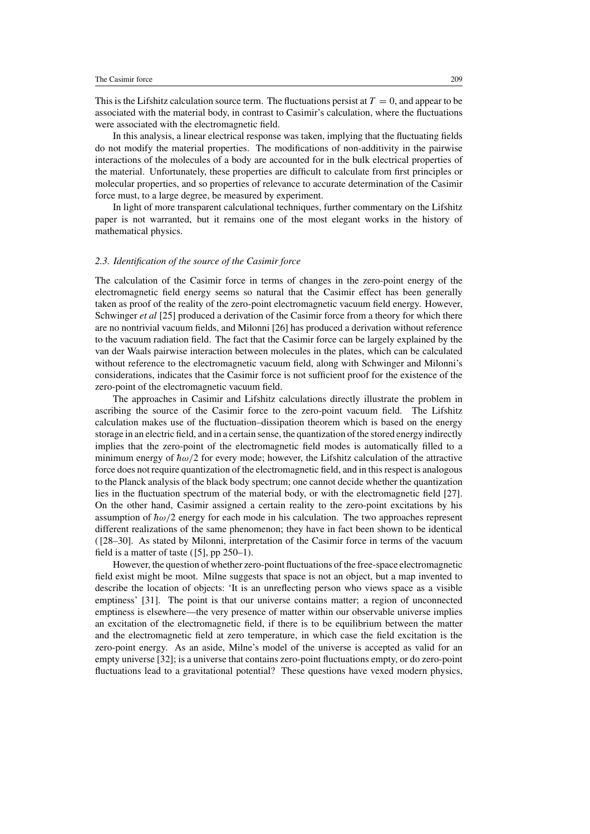This is the Lifshitz calculation source term. The fluctuations persist at  $T = 0$ , and appear to be associated with the material body, in contrast to Casimir's calculation, where the fluctuations were associated with the electromagnetic field.

In this analysis, a linear electrical response was taken, implying that the fluctuating fields do not modify the material properties. The modifications of non-additivity in the pairwise interactions of the molecules of a body are accounted for in the bulk electrical properties of the material. Unfortunately, these properties are difficult to calculate from first principles or molecular properties, and so properties of relevance to accurate determination of the Casimir force must, to a large degree, be measured by experiment.

In light of more transparent calculational techniques, further commentary on the Lifshitz paper is not warranted, but it remains one of the most elegant works in the history of mathematical physics.

#### *2.3. Identification of the source of the Casimir force*

The calculation of the Casimir force in terms of changes in the zero-point energy of the electromagnetic field energy seems so natural that the Casimir effect has been generally taken as proof of the reality of the zero-point electromagnetic vacuum field energy. However, Schwinger *et al* [25] produced a derivation of the Casimir force from a theory for which there are no nontrivial vacuum fields, and Milonni [26] has produced a derivation without reference to the vacuum radiation field. The fact that the Casimir force can be largely explained by the van der Waals pairwise interaction between molecules in the plates, which can be calculated without reference to the electromagnetic vacuum field, along with Schwinger and Milonni's considerations, indicates that the Casimir force is not sufficient proof for the existence of the zero-point of the electromagnetic vacuum field.

The approaches in Casimir and Lifshitz calculations directly illustrate the problem in ascribing the source of the Casimir force to the zero-point vacuum field. The Lifshitz calculation makes use of the fluctuation–dissipation theorem which is based on the energy storage in an electric field, and in a certain sense, the quantization of the stored energy indirectly implies that the zero-point of the electromagnetic field modes is automatically filled to a minimum energy of  $\hbar \omega/2$  for every mode; however, the Lifshitz calculation of the attractive force does not require quantization of the electromagnetic field, and in this respect is analogous to the Planck analysis of the black body spectrum; one cannot decide whether the quantization lies in the fluctuation spectrum of the material body, or with the electromagnetic field [27]. On the other hand, Casimir assigned a certain reality to the zero-point excitations by his assumption of  $\hbar \omega/2$  energy for each mode in his calculation. The two approaches represent different realizations of the same phenomenon; they have in fact been shown to be identical ( [28–30]. As stated by Milonni, interpretation of the Casimir force in terms of the vacuum field is a matter of taste  $([5]$ , pp 250–1).

However, the question of whether zero-point fluctuations of the free-space electromagnetic field exist might be moot. Milne suggests that space is not an object, but a map invented to describe the location of objects: 'It is an unreflecting person who views space as a visible emptiness' [31]. The point is that our universe contains matter; a region of unconnected emptiness is elsewhere—the very presence of matter within our observable universe implies an excitation of the electromagnetic field, if there is to be equilibrium between the matter and the electromagnetic field at zero temperature, in which case the field excitation is the zero-point energy. As an aside, Milne's model of the universe is accepted as valid for an empty universe [32]; is a universe that contains zero-point fluctuations empty, or do zero-point fluctuations lead to a gravitational potential? These questions have vexed modern physics,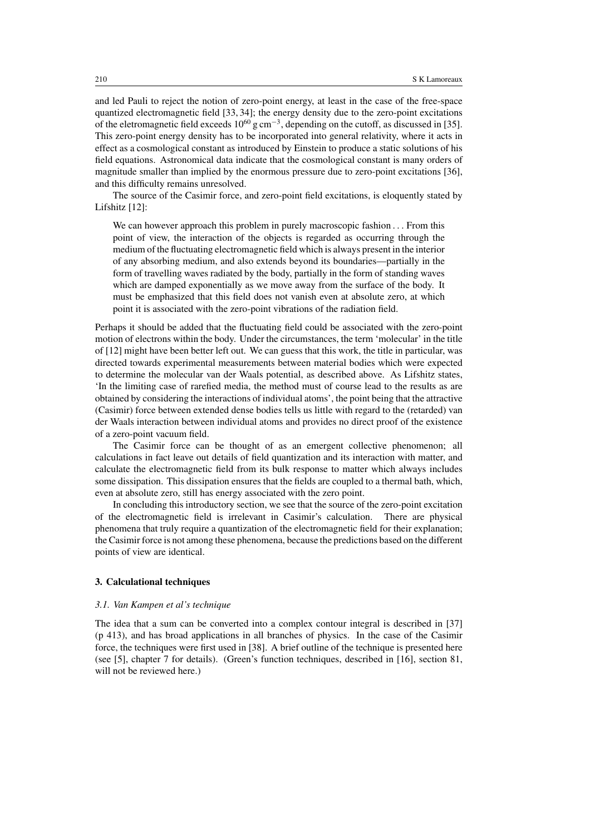and led Pauli to reject the notion of zero-point energy, at least in the case of the free-space quantized electromagnetic field [33, 34]; the energy density due to the zero-point excitations of the eletromagnetic field exceeds  $10^{60}$  g cm<sup>-3</sup>, depending on the cutoff, as discussed in [35]. This zero-point energy density has to be incorporated into general relativity, where it acts in effect as a cosmological constant as introduced by Einstein to produce a static solutions of his field equations. Astronomical data indicate that the cosmological constant is many orders of magnitude smaller than implied by the enormous pressure due to zero-point excitations [36], and this difficulty remains unresolved.

The source of the Casimir force, and zero-point field excitations, is eloquently stated by Lifshitz [12]:

We can however approach this problem in purely macroscopic fashion *...* From this point of view, the interaction of the objects is regarded as occurring through the medium of the fluctuating electromagnetic field which is always present in the interior of any absorbing medium, and also extends beyond its boundaries—partially in the form of travelling waves radiated by the body, partially in the form of standing waves which are damped exponentially as we move away from the surface of the body. It must be emphasized that this field does not vanish even at absolute zero, at which point it is associated with the zero-point vibrations of the radiation field.

Perhaps it should be added that the fluctuating field could be associated with the zero-point motion of electrons within the body. Under the circumstances, the term 'molecular' in the title of [12] might have been better left out. We can guess that this work, the title in particular, was directed towards experimental measurements between material bodies which were expected to determine the molecular van der Waals potential, as described above. As Lifshitz states, 'In the limiting case of rarefied media, the method must of course lead to the results as are obtained by considering the interactions of individual atoms', the point being that the attractive (Casimir) force between extended dense bodies tells us little with regard to the (retarded) van der Waals interaction between individual atoms and provides no direct proof of the existence of a zero-point vacuum field.

The Casimir force can be thought of as an emergent collective phenomenon; all calculations in fact leave out details of field quantization and its interaction with matter, and calculate the electromagnetic field from its bulk response to matter which always includes some dissipation. This dissipation ensures that the fields are coupled to a thermal bath, which, even at absolute zero, still has energy associated with the zero point.

In concluding this introductory section, we see that the source of the zero-point excitation of the electromagnetic field is irrelevant in Casimir's calculation. There are physical phenomena that truly require a quantization of the electromagnetic field for their explanation; the Casimir force is not among these phenomena, because the predictions based on the different points of view are identical.

#### **3. Calculational techniques**

#### *3.1. Van Kampen et al's technique*

The idea that a sum can be converted into a complex contour integral is described in [37] (p 413), and has broad applications in all branches of physics. In the case of the Casimir force, the techniques were first used in [38]. A brief outline of the technique is presented here (see [5], chapter 7 for details). (Green's function techniques, described in [16], section 81, will not be reviewed here.)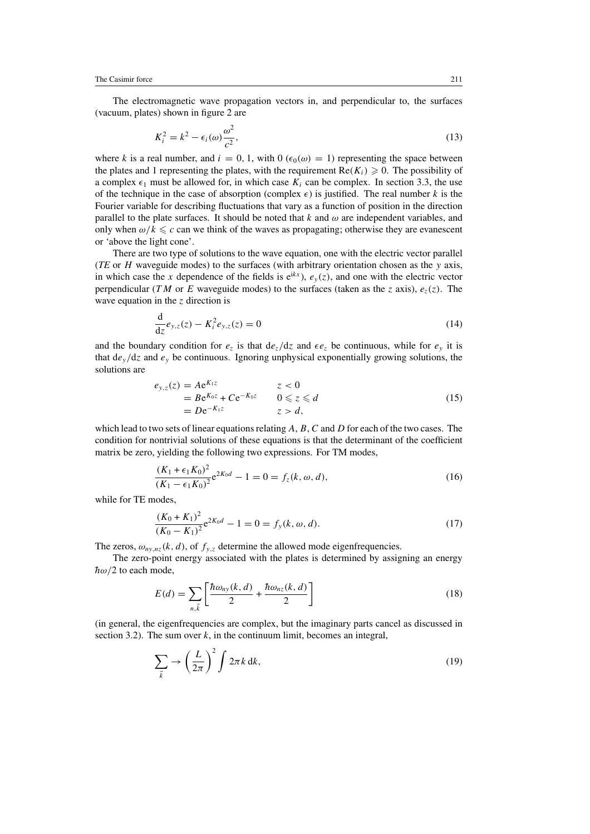The electromagnetic wave propagation vectors in, and perpendicular to, the surfaces (vacuum, plates) shown in figure 2 are

$$
K_i^2 = k^2 - \epsilon_i(\omega)\frac{\omega^2}{c^2},\tag{13}
$$

where *k* is a real number, and  $i = 0, 1$ , with  $0 \left( \epsilon_0(\omega) = 1 \right)$  representing the space between the plates and 1 representing the plates, with the requirement  $Re(K_i) \geq 0$ . The possibility of a complex  $\epsilon_1$  must be allowed for, in which case  $K_i$  can be complex. In section 3.3, the use of the technique in the case of absorption (complex  $\epsilon$ ) is justified. The real number *k* is the Fourier variable for describing fluctuations that vary as a function of position in the direction parallel to the plate surfaces. It should be noted that  $k$  and  $\omega$  are independent variables, and only when  $\omega/k \leq c$  can we think of the waves as propagating; otherwise they are evanescent or 'above the light cone'.

There are two type of solutions to the wave equation, one with the electric vector parallel (*TE* or *H* waveguide modes) to the surfaces (with arbitrary orientation chosen as the *y* axis, in which case the *x* dependence of the fields is  $e^{ikx}$ ,  $e_y(z)$ , and one with the electric vector perpendicular (*TM* or *E* waveguide modes) to the surfaces (taken as the *z* axis),  $e_z(z)$ . The wave equation in the *z* direction is

$$
\frac{d}{dz}e_{y,z}(z) - K_i^2 e_{y,z}(z) = 0
$$
\n(14)

and the boundary condition for  $e_z$  is that  $de_z/dz$  and  $\epsilon e_z$  be continuous, while for  $e_y$  it is that  $de_y/dz$  and  $e_y$  be continuous. Ignoring unphysical exponentially growing solutions, the solutions are

$$
e_{y,z}(z) = Ae^{K_1z} \t z < 0
$$
  
= Be^{K\_0z} + Ce^{-K\_0z} \t 0 \le z \le d  
= De^{-K\_1z} \t z > d, (15)

which lead to two sets of linear equations relating *A*, *B*, *C* and *D* for each of the two cases. The condition for nontrivial solutions of these equations is that the determinant of the coefficient matrix be zero, yielding the following two expressions. For TM modes,

$$
\frac{(K_1 + \epsilon_1 K_0)^2}{(K_1 - \epsilon_1 K_0)^2} e^{2K_0 d} - 1 = 0 = f_z(k, \omega, d),
$$
\n(16)

while for TE modes,

$$
\frac{(K_0 + K_1)^2}{(K_0 - K_1)^2} e^{2K_0 d} - 1 = 0 = f_y(k, \omega, d).
$$
\n(17)

The zeros,  $\omega_{ny,nz}(k, d)$ , of  $f_{y,z}$  determine the allowed mode eigenfrequencies.

The zero-point energy associated with the plates is determined by assigning an energy  $\hbar \omega/2$  to each mode,

$$
E(d) = \sum_{n,\vec{k}} \left[ \frac{\hbar \omega_{ny}(k,d)}{2} + \frac{\hbar \omega_{nz}(k,d)}{2} \right]
$$
 (18)

(in general, the eigenfrequencies are complex, but the imaginary parts cancel as discussed in section 3.2). The sum over  $k$ , in the continuum limit, becomes an integral,

$$
\sum_{\vec{k}} \rightarrow \left(\frac{L}{2\pi}\right)^2 \int 2\pi k \, \mathrm{d}k,\tag{19}
$$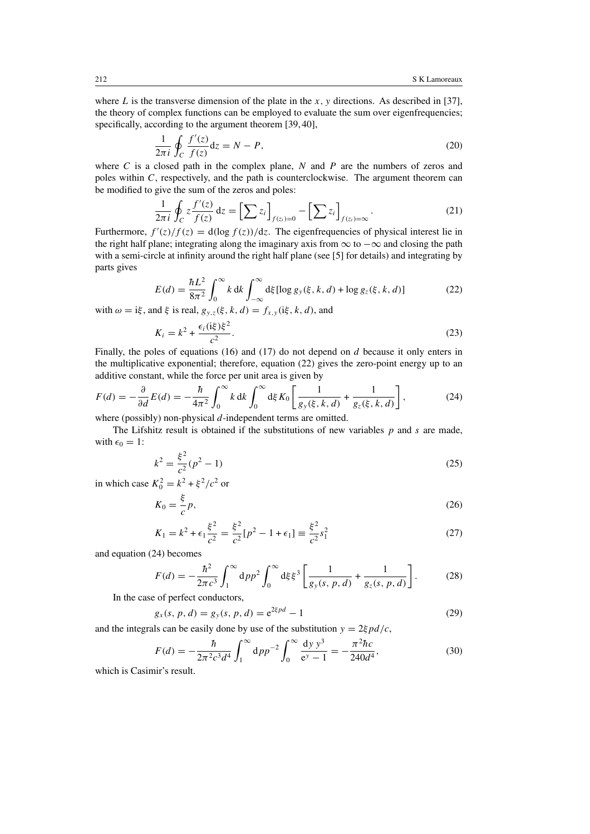where *L* is the transverse dimension of the plate in the *x, y* directions. As described in [37], the theory of complex functions can be employed to evaluate the sum over eigenfrequencies; specifically, according to the argument theorem [39, 40],

$$
\frac{1}{2\pi i} \oint_C \frac{f'(z)}{f(z)} dz = N - P,
$$
\n(20)

where *C* is a closed path in the complex plane, *N* and *P* are the numbers of zeros and poles within *C*, respectively, and the path is counterclockwise. The argument theorem can be modified to give the sum of the zeros and poles:

$$
\frac{1}{2\pi i} \oint_C z \frac{f'(z)}{f(z)} dz = \left[\sum z_i\right]_{f(z_i)=0} - \left[\sum z_i\right]_{f(z_i)=\infty}.
$$
\n(21)

Furthermore,  $f'(z)/f(z) = d(\log f(z))/dz$ . The eigenfrequencies of physical interest lie in the right half plane; integrating along the imaginary axis from  $\infty$  to  $-\infty$  and closing the path with a semi-circle at infinity around the right half plane (see [5] for details) and integrating by parts gives

$$
E(d) = \frac{\hbar L^2}{8\pi^2} \int_0^\infty k \, dk \int_{-\infty}^\infty d\xi [\log g_y(\xi, k, d) + \log g_z(\xi, k, d)] \tag{22}
$$

with  $\omega = i\xi$ , and  $\xi$  is real,  $g_{y,z}(\xi, k, d) = f_{x,y}(i\xi, k, d)$ , and

$$
K_i = k^2 + \frac{\epsilon_i (\mathrm{i}\xi)\xi^2}{c^2}.\tag{23}
$$

Finally, the poles of equations (16) and (17) do not depend on *d* because it only enters in the multiplicative exponential; therefore, equation (22) gives the zero-point energy up to an additive constant, while the force per unit area is given by

$$
F(d) = -\frac{\partial}{\partial d}E(d) = -\frac{\hbar}{4\pi^2} \int_0^\infty k \, dk \int_0^\infty d\xi K_0 \left[ \frac{1}{g_y(\xi, k, d)} + \frac{1}{g_z(\xi, k, d)} \right],\tag{24}
$$
where (possibly) non physical *d* independent terms are omitted.

where (possibly) non-physical *d*-independent terms are omitted.

The Lifshitz result is obtained if the substitutions of new variables *p* and *s* are made, with  $\epsilon_0 = 1$ :

$$
k^2 = \frac{\xi^2}{c^2}(p^2 - 1)
$$
 (25)

in which case  $K_0^2 = k^2 + \xi^2/c^2$  or

$$
K_0 = \frac{\xi}{c} p,\tag{26}
$$

$$
K_1 = k^2 + \epsilon_1 \frac{\xi^2}{c^2} = \frac{\xi^2}{c^2} [p^2 - 1 + \epsilon_1] \equiv \frac{\xi^2}{c^2} s_1^2
$$
 (27)

and equation (24) becomes

$$
F(d) = -\frac{\hbar^2}{2\pi c^3} \int_1^\infty dp p^2 \int_0^\infty d\xi \xi^3 \left[ \frac{1}{g_y(s, p, d)} + \frac{1}{g_z(s, p, d)} \right].
$$
 (28)

In the case of perfect conductors,

$$
g_x(s, p, d) = g_y(s, p, d) = e^{2\xi p d} - 1
$$
\n(29)

and the integrals can be easily done by use of the substitution  $y = 2\xi pd/c$ ,

$$
F(d) = -\frac{\hbar}{2\pi^2 c^3 d^4} \int_1^\infty dp p^{-2} \int_0^\infty \frac{dy y^3}{e^y - 1} = -\frac{\pi^2 \hbar c}{240 d^4},\tag{30}
$$

which is Casimir's result.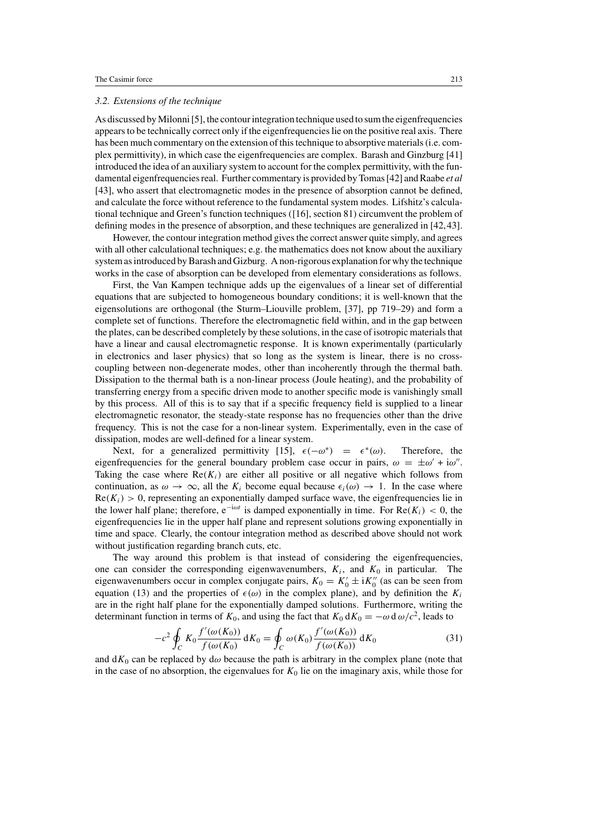#### *3.2. Extensions of the technique*

As discussed by Milonni [5], the contour integration technique used to sum the eigenfrequencies appears to be technically correct only if the eigenfrequencies lie on the positive real axis. There has been much commentary on the extension of this technique to absorptive materials (i.e. complex permittivity), in which case the eigenfrequencies are complex. Barash and Ginzburg [41] introduced the idea of an auxiliary system to account for the complex permittivity, with the fundamental eigenfrequencies real. Further commentary is provided by Tomas [42] and Raabe *et al* [43], who assert that electromagnetic modes in the presence of absorption cannot be defined, and calculate the force without reference to the fundamental system modes. Lifshitz's calculational technique and Green's function techniques ([16], section 81) circumvent the problem of defining modes in the presence of absorption, and these techniques are generalized in [42,43].

However, the contour integration method gives the correct answer quite simply, and agrees with all other calculational techniques; e.g. the mathematics does not know about the auxiliary system as introduced by Barash and Gizburg. A non-rigorous explanation for why the technique works in the case of absorption can be developed from elementary considerations as follows.

First, the Van Kampen technique adds up the eigenvalues of a linear set of differential equations that are subjected to homogeneous boundary conditions; it is well-known that the eigensolutions are orthogonal (the Sturm–Liouville problem, [37], pp 719–29) and form a complete set of functions. Therefore the electromagnetic field within, and in the gap between the plates, can be described completely by these solutions, in the case of isotropic materials that have a linear and causal electromagnetic response. It is known experimentally (particularly in electronics and laser physics) that so long as the system is linear, there is no crosscoupling between non-degenerate modes, other than incoherently through the thermal bath. Dissipation to the thermal bath is a non-linear process (Joule heating), and the probability of transferring energy from a specific driven mode to another specific mode is vanishingly small by this process. All of this is to say that if a specific frequency field is supplied to a linear electromagnetic resonator, the steady-state response has no frequencies other than the drive frequency. This is not the case for a non-linear system. Experimentally, even in the case of dissipation, modes are well-defined for a linear system.

Next, for a generalized permittivity [15],  $\epsilon(-\omega^*) = \epsilon^*(\omega)$ . Therefore, the eigenfrequencies for the general boundary problem case occur in pairs,  $\omega = \pm \omega' + i\omega''$ . Taking the case where  $\text{Re}(K_i)$  are either all positive or all negative which follows from continuation, as  $\omega \to \infty$ , all the  $K_i$  become equal because  $\epsilon_i(\omega) \to 1$ . In the case where  $Re(K_i) > 0$ , representing an exponentially damped surface wave, the eigenfrequencies lie in the lower half plane; therefore, e<sup> $-i\omega t$ </sup> is damped exponentially in time. For  $Re(K_i) < 0$ , the eigenfrequencies lie in the upper half plane and represent solutions growing exponentially in time and space. Clearly, the contour integration method as described above should not work without justification regarding branch cuts, etc.

The way around this problem is that instead of considering the eigenfrequencies, one can consider the corresponding eigenwavenumbers,  $K_i$ , and  $K_0$  in particular. The eigenwavenumbers occur in complex conjugate pairs,  $K_0 = K'_0 \pm iK''_0$  (as can be seen from equation (13) and the properties of  $\epsilon(\omega)$  in the complex plane), and by definition the  $K_i$ are in the right half plane for the exponentially damped solutions. Furthermore, writing the determinant function in terms of  $K_0$ , and using the fact that  $K_0 dK_0 = -\omega d \omega/c^2$ , leads to

$$
-c^2 \oint_C K_0 \frac{f'(\omega(K_0))}{f(\omega(K_0))} dK_0 = \oint_C \omega(K_0) \frac{f'(\omega(K_0))}{f(\omega(K_0))} dK_0
$$
\n(31)

and  $dK_0$  can be replaced by  $d\omega$  because the path is arbitrary in the complex plane (note that in the case of no absorption, the eigenvalues for  $K_0$  lie on the imaginary axis, while those for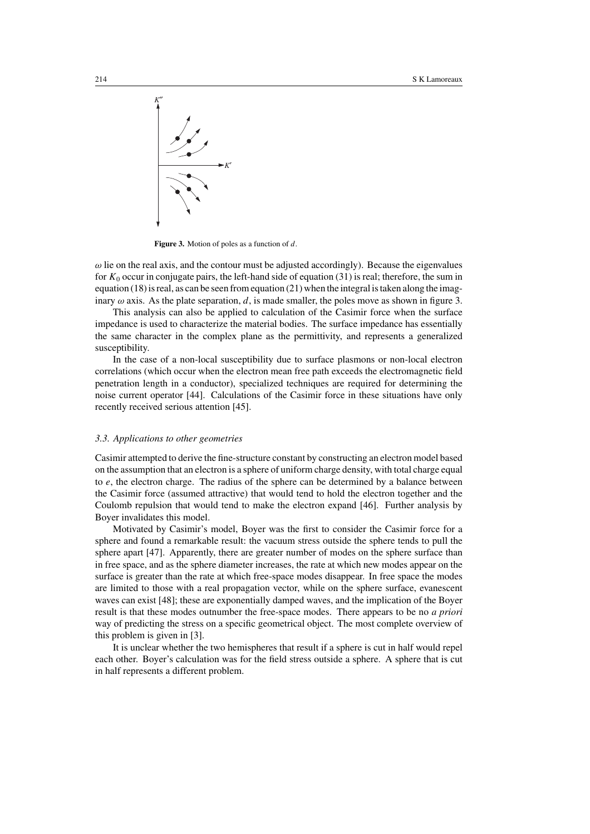

**Figure 3.** Motion of poles as a function of *d*.

 $\omega$  lie on the real axis, and the contour must be adjusted accordingly). Because the eigenvalues for *K*<sup>0</sup> occur in conjugate pairs, the left-hand side of equation (31) is real; therefore, the sum in equation (18) is real, as can be seen from equation (21) when the integral is taken along the imaginary  $\omega$  axis. As the plate separation, d, is made smaller, the poles move as shown in figure 3.

This analysis can also be applied to calculation of the Casimir force when the surface impedance is used to characterize the material bodies. The surface impedance has essentially the same character in the complex plane as the permittivity, and represents a generalized susceptibility.

In the case of a non-local susceptibility due to surface plasmons or non-local electron correlations (which occur when the electron mean free path exceeds the electromagnetic field penetration length in a conductor), specialized techniques are required for determining the noise current operator [44]. Calculations of the Casimir force in these situations have only recently received serious attention [45].

#### *3.3. Applications to other geometries*

Casimir attempted to derive the fine-structure constant by constructing an electron model based on the assumption that an electron is a sphere of uniform charge density, with total charge equal to *e*, the electron charge. The radius of the sphere can be determined by a balance between the Casimir force (assumed attractive) that would tend to hold the electron together and the Coulomb repulsion that would tend to make the electron expand [46]. Further analysis by Boyer invalidates this model.

Motivated by Casimir's model, Boyer was the first to consider the Casimir force for a sphere and found a remarkable result: the vacuum stress outside the sphere tends to pull the sphere apart [47]. Apparently, there are greater number of modes on the sphere surface than in free space, and as the sphere diameter increases, the rate at which new modes appear on the surface is greater than the rate at which free-space modes disappear. In free space the modes are limited to those with a real propagation vector, while on the sphere surface, evanescent waves can exist [48]; these are exponentially damped waves, and the implication of the Boyer result is that these modes outnumber the free-space modes. There appears to be no *a priori* way of predicting the stress on a specific geometrical object. The most complete overview of this problem is given in [3].

It is unclear whether the two hemispheres that result if a sphere is cut in half would repel each other. Boyer's calculation was for the field stress outside a sphere. A sphere that is cut in half represents a different problem.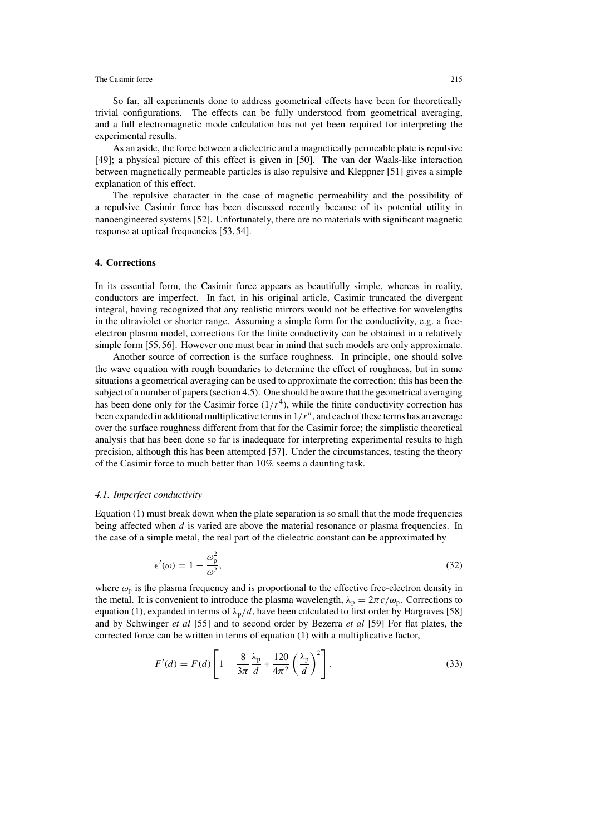So far, all experiments done to address geometrical effects have been for theoretically trivial configurations. The effects can be fully understood from geometrical averaging, and a full electromagnetic mode calculation has not yet been required for interpreting the experimental results.

As an aside, the force between a dielectric and a magnetically permeable plate is repulsive [49]; a physical picture of this effect is given in [50]. The van der Waals-like interaction between magnetically permeable particles is also repulsive and Kleppner [51] gives a simple explanation of this effect.

The repulsive character in the case of magnetic permeability and the possibility of a repulsive Casimir force has been discussed recently because of its potential utility in nanoengineered systems [52]. Unfortunately, there are no materials with significant magnetic response at optical frequencies [53, 54].

# **4. Corrections**

In its essential form, the Casimir force appears as beautifully simple, whereas in reality, conductors are imperfect. In fact, in his original article, Casimir truncated the divergent integral, having recognized that any realistic mirrors would not be effective for wavelengths in the ultraviolet or shorter range. Assuming a simple form for the conductivity, e.g. a freeelectron plasma model, corrections for the finite conductivity can be obtained in a relatively simple form [55,56]. However one must bear in mind that such models are only approximate.

Another source of correction is the surface roughness. In principle, one should solve the wave equation with rough boundaries to determine the effect of roughness, but in some situations a geometrical averaging can be used to approximate the correction; this has been the subject of a number of papers (section 4.5). One should be aware that the geometrical averaging has been done only for the Casimir force  $(1/r<sup>4</sup>)$ , while the finite conductivity correction has been expanded in additional multiplicative terms in 1*/r<sup>n</sup>*, and each of these terms has an average over the surface roughness different from that for the Casimir force; the simplistic theoretical analysis that has been done so far is inadequate for interpreting experimental results to high precision, although this has been attempted [57]. Under the circumstances, testing the theory of the Casimir force to much better than 10% seems a daunting task.

#### *4.1. Imperfect conductivity*

Equation (1) must break down when the plate separation is so small that the mode frequencies being affected when *d* is varied are above the material resonance or plasma frequencies. In the case of a simple metal, the real part of the dielectric constant can be approximated by

$$
\epsilon'(\omega) = 1 - \frac{\omega_p^2}{\omega^2},\tag{32}
$$

where  $\omega_p$  is the plasma frequency and is proportional to the effective free-electron density in the metal. It is convenient to introduce the plasma wavelength,  $\lambda_p = 2\pi c/\omega_p$ . Corrections to equation (1), expanded in terms of  $\lambda_p/d$ , have been calculated to first order by Hargraves [58] and by Schwinger *et al* [55] and to second order by Bezerra *et al* [59] For flat plates, the corrected force can be written in terms of equation (1) with a multiplicative factor,

$$
F'(d) = F(d) \left[ 1 - \frac{8}{3\pi} \frac{\lambda_p}{d} + \frac{120}{4\pi^2} \left( \frac{\lambda_p}{d} \right)^2 \right].
$$
 (33)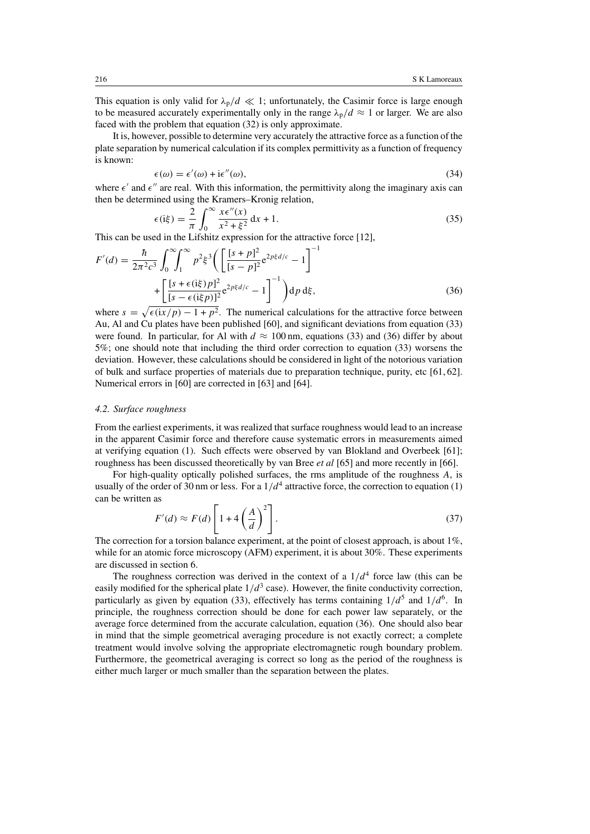This equation is only valid for  $\lambda_p/d \ll 1$ ; unfortunately, the Casimir force is large enough to be measured accurately experimentally only in the range  $\lambda_p/d \approx 1$  or larger. We are also faced with the problem that equation (32) is only approximate.

It is, however, possible to determine very accurately the attractive force as a function of the plate separation by numerical calculation if its complex permittivity as a function of frequency is known:

$$
\epsilon(\omega) = \epsilon'(\omega) + i\epsilon''(\omega),\tag{34}
$$

where  $\epsilon'$  and  $\epsilon''$  are real. With this information, the permittivity along the imaginary axis can then be determined using the Kramers–Kronig relation,

$$
\epsilon(\mathrm{i}\xi) = \frac{2}{\pi} \int_0^\infty \frac{x \epsilon''(x)}{x^2 + \xi^2} \, \mathrm{d}x + 1. \tag{35}
$$

This can be used in the Lifshitz expression for the attractive force [12],

$$
F'(d) = \frac{\hbar}{2\pi^2 c^3} \int_0^{\infty} \int_1^{\infty} p^2 \xi^3 \left( \left[ \frac{[s+p]^2}{[s-p]^2} e^{2p\xi d/c} - 1 \right]^{-1} + \left[ \frac{[s+\epsilon(\mathrm{i}\xi)p]^2}{[s-\epsilon(\mathrm{i}\xi p)]^2} e^{2p\xi d/c} - 1 \right]^{-1} \right) \mathrm{d}p \, \mathrm{d}\xi, \tag{36}
$$

where  $s = \sqrt{\epsilon(i x / p) - 1 + p^2}$ . The numerical calculations for the attractive force between Au, Al and Cu plates have been published [60], and significant deviations from equation (33) were found. In particular, for Al with  $d \approx 100$  nm, equations (33) and (36) differ by about 5%; one should note that including the third order correction to equation (33) worsens the deviation. However, these calculations should be considered in light of the notorious variation of bulk and surface properties of materials due to preparation technique, purity, etc [61, 62]. Numerical errors in [60] are corrected in [63] and [64].

#### *4.2. Surface roughness*

From the earliest experiments, it was realized that surface roughness would lead to an increase in the apparent Casimir force and therefore cause systematic errors in measurements aimed at verifying equation (1). Such effects were observed by van Blokland and Overbeek [61]; roughness has been discussed theoretically by van Bree *et al* [65] and more recently in [66].

For high-quality optically polished surfaces, the rms amplitude of the roughness *A*, is usually of the order of 30 nm or less. For a  $1/d<sup>4</sup>$  attractive force, the correction to equation (1) can be written as

$$
F'(d) \approx F(d) \left[ 1 + 4 \left( \frac{A}{d} \right)^2 \right].
$$
 (37)

The correction for a torsion balance experiment, at the point of closest approach, is about 1%, while for an atomic force microscopy (AFM) experiment, it is about 30%. These experiments are discussed in section 6.

The roughness correction was derived in the context of a  $1/d<sup>4</sup>$  force law (this can be easily modified for the spherical plate  $1/d<sup>3</sup>$  case). However, the finite conductivity correction, particularly as given by equation (33), effectively has terms containing  $1/d^5$  and  $1/d^6$ . In principle, the roughness correction should be done for each power law separately, or the average force determined from the accurate calculation, equation (36). One should also bear in mind that the simple geometrical averaging procedure is not exactly correct; a complete treatment would involve solving the appropriate electromagnetic rough boundary problem. Furthermore, the geometrical averaging is correct so long as the period of the roughness is either much larger or much smaller than the separation between the plates.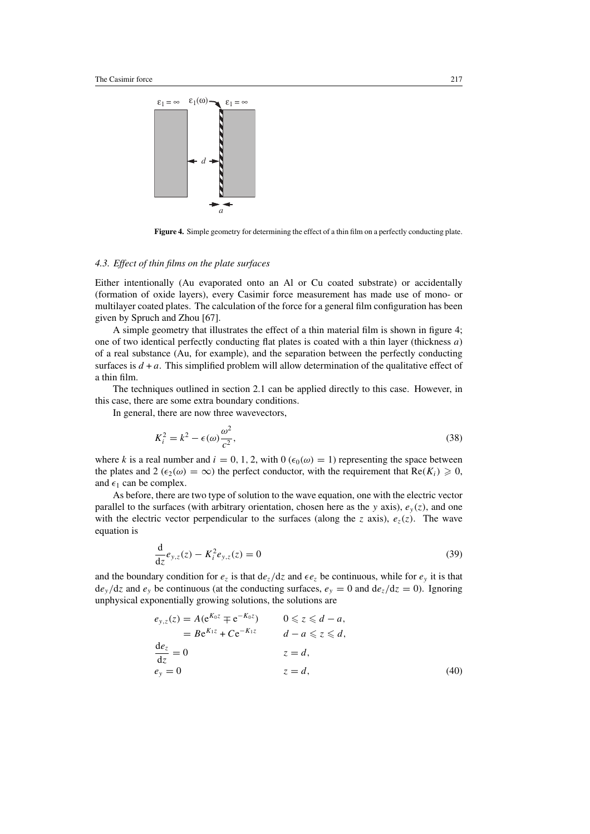

**Figure 4.** Simple geometry for determining the effect of a thin film on a perfectly conducting plate.

# *4.3. Effect of thin films on the plate surfaces*

Either intentionally (Au evaporated onto an Al or Cu coated substrate) or accidentally (formation of oxide layers), every Casimir force measurement has made use of mono- or multilayer coated plates. The calculation of the force for a general film configuration has been given by Spruch and Zhou [67].

A simple geometry that illustrates the effect of a thin material film is shown in figure 4; one of two identical perfectly conducting flat plates is coated with a thin layer (thickness *a*) of a real substance (Au, for example), and the separation between the perfectly conducting surfaces is  $d + a$ . This simplified problem will allow determination of the qualitative effect of a thin film.

The techniques outlined in section 2.1 can be applied directly to this case. However, in this case, there are some extra boundary conditions.

In general, there are now three wavevectors,

$$
K_i^2 = k^2 - \epsilon(\omega)\frac{\omega^2}{c^2},\tag{38}
$$

where *k* is a real number and  $i = 0, 1, 2$ , with  $0 \left( \epsilon_0(\omega) = 1 \right)$  representing the space between the plates and  $2 (\epsilon_2(\omega) = \infty)$  the perfect conductor, with the requirement that  $\text{Re}(K_i) \geq 0$ , and  $\epsilon_1$  can be complex.

As before, there are two type of solution to the wave equation, one with the electric vector parallel to the surfaces (with arbitrary orientation, chosen here as the *y* axis),  $e_y(z)$ , and one with the electric vector perpendicular to the surfaces (along the *z* axis),  $e_z(z)$ . The wave equation is

$$
\frac{d}{dz}e_{y,z}(z) - K_i^2 e_{y,z}(z) = 0
$$
\n(39)

and the boundary condition for  $e_z$  is that  $de_z/dz$  and  $\epsilon e_z$  be continuous, while for  $e_y$  it is that  $de_y/dz$  and  $e_y$  be continuous (at the conducting surfaces,  $e_y = 0$  and  $de_z/dz = 0$ ). Ignoring unphysical exponentially growing solutions, the solutions are

$$
e_{y,z}(z) = A(e^{K_0 z} \mp e^{-K_0 z}) \qquad 0 \le z \le d - a,
$$
  
\n
$$
= Be^{K_1 z} + Ce^{-K_1 z} \qquad d - a \le z \le d,
$$
  
\n
$$
\frac{de_z}{dz} = 0 \qquad z = d,
$$
  
\n
$$
e_y = 0 \qquad z = d,
$$
\n(40)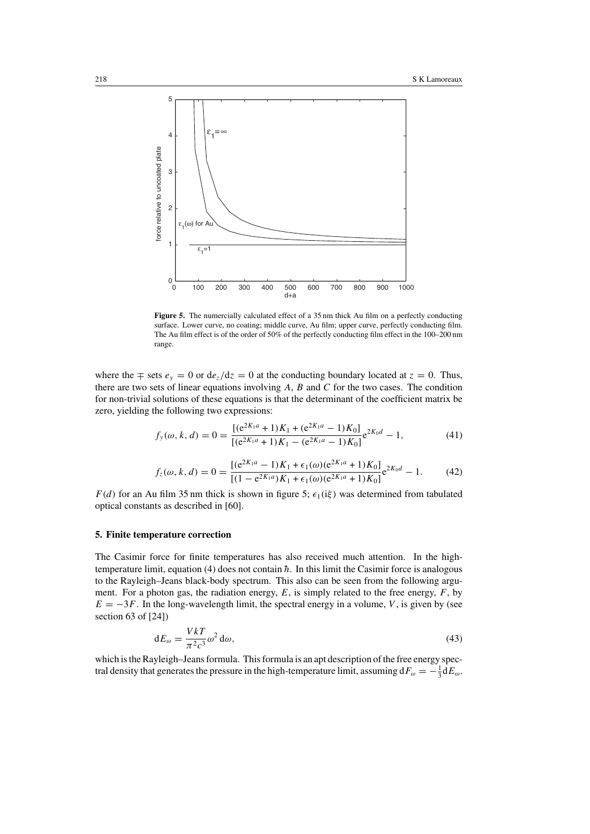

**Figure 5.** The numercially calculated effect of a 35 nm thick Au film on a perfectly conducting surface. Lower curve, no coating; middle curve, Au film; upper curve, perfectly conducting film. The Au film effect is of the order of 50% of the perfectly conducting film effect in the 100–200 nm range.

where the  $\mp$  sets  $e_y = 0$  or  $de_z/dz = 0$  at the conducting boundary located at  $z = 0$ . Thus, there are two sets of linear equations involving *A*, *B* and *C* for the two cases. The condition for non-trivial solutions of these equations is that the determinant of the coefficient matrix be zero, yielding the following two expressions:

$$
f_{y}(\omega, k, d) = 0 = \frac{[(e^{2K_1a} + 1)K_1 + (e^{2K_1a} - 1)K_0]}{[(e^{2K_1a} + 1)K_1 - (e^{2K_1a} - 1)K_0]}e^{2K_0d} - 1,
$$
\n(41)

$$
f_z(\omega, k, d) = 0 = \frac{[(e^{2K_1a} - 1)K_1 + \epsilon_1(\omega)(e^{2K_1a} + 1)K_0]}{[(1 - e^{2K_1a})K_1 + \epsilon_1(\omega)(e^{2K_1a} + 1)K_0]}e^{2K_0d} - 1.
$$
 (42)

*F(d)* for an Au film 35 nm thick is shown in figure 5;  $\epsilon_1(i\xi)$  was determined from tabulated optical constants as described in [60].

#### **5. Finite temperature correction**

The Casimir force for finite temperatures has also received much attention. In the hightemperature limit, equation  $(4)$  does not contain  $\hbar$ . In this limit the Casimir force is analogous to the Rayleigh–Jeans black-body spectrum. This also can be seen from the following argument. For a photon gas, the radiation energy, *E*, is simply related to the free energy, *F*, by  $E = -3F$ . In the long-wavelength limit, the spectral energy in a volume, *V*, is given by (see section 63 of [24])

$$
dE_{\omega} = \frac{VkT}{\pi^2 c^3} \omega^2 d\omega,
$$
\n(43)

which is the Rayleigh–Jeans formula. This formula is an apt description of the free energy spectral density that generates the pressure in the high-temperature limit, assuming  $dF_{\omega} = -\frac{1}{3} dE_{\omega}$ .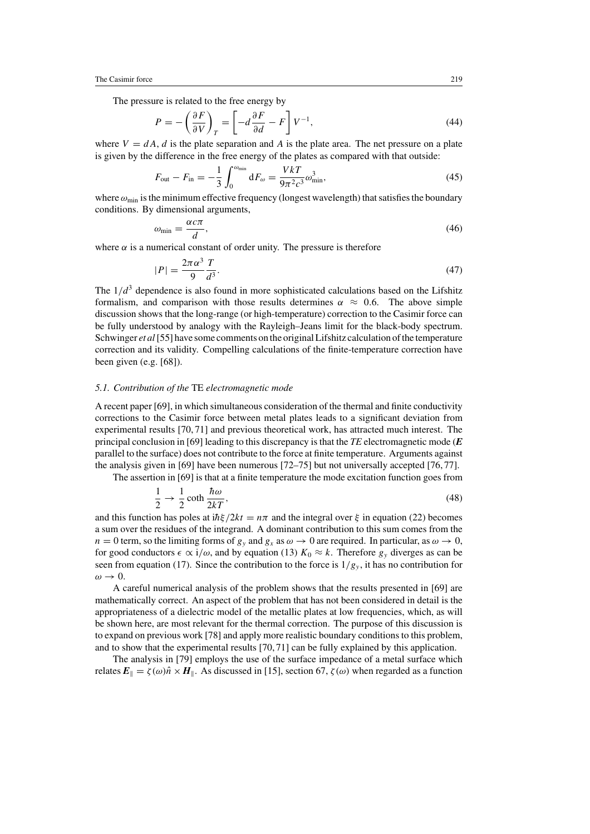The pressure is related to the free energy by

$$
P = -\left(\frac{\partial F}{\partial V}\right)_T = \left[-d\frac{\partial F}{\partial d} - F\right]V^{-1},\tag{44}
$$

where  $V = dA$ , *d* is the plate separation and *A* is the plate area. The net pressure on a plate is given by the difference in the free energy of the plates as compared with that outside:

$$
F_{\text{out}} - F_{\text{in}} = -\frac{1}{3} \int_0^{\omega_{\text{min}}} dF_{\omega} = \frac{VkT}{9\pi^2 c^3} \omega_{\text{min}}^3,
$$
 (45)

where  $\omega_{\text{min}}$  is the minimum effective frequency (longest wavelength) that satisfies the boundary conditions. By dimensional arguments,

$$
\omega_{\min} = \frac{\alpha c \pi}{d},\tag{46}
$$

where  $\alpha$  is a numerical constant of order unity. The pressure is therefore

$$
|P| = \frac{2\pi\alpha^3}{9} \frac{T}{d^3}.\tag{47}
$$

The  $1/d<sup>3</sup>$  dependence is also found in more sophisticated calculations based on the Lifshitz formalism, and comparison with those results determines  $\alpha \approx 0.6$ . The above simple discussion shows that the long-range (or high-temperature) correction to the Casimir force can be fully understood by analogy with the Rayleigh–Jeans limit for the black-body spectrum. Schwinger *et al* [55] have some comments on the original Lifshitz calculation of the temperature correction and its validity. Compelling calculations of the finite-temperature correction have been given (e.g. [68]).

#### *5.1. Contribution of the* TE *electromagnetic mode*

A recent paper [69], in which simultaneous consideration of the thermal and finite conductivity corrections to the Casimir force between metal plates leads to a significant deviation from experimental results [70, 71] and previous theoretical work, has attracted much interest. The principal conclusion in [69] leading to this discrepancy is that the *TE* electromagnetic mode (*E* parallel to the surface) does not contribute to the force at finite temperature. Arguments against the analysis given in [69] have been numerous [72–75] but not universally accepted [76, 77].

The assertion in [69] is that at a finite temperature the mode excitation function goes from

$$
\frac{1}{2} \to \frac{1}{2} \coth \frac{\hbar \omega}{2kT},\tag{48}
$$

and this function has poles at  $i\hbar\xi/2kt = n\pi$  and the integral over  $\xi$  in equation (22) becomes a sum over the residues of the integrand. A dominant contribution to this sum comes from the  $n = 0$  term, so the limiting forms of  $g_y$  and  $g_x$  as  $\omega \to 0$  are required. In particular, as  $\omega \to 0$ , for good conductors  $\epsilon \propto i/\omega$ , and by equation (13)  $K_0 \approx k$ . Therefore  $g_y$  diverges as can be seen from equation (17). Since the contribution to the force is  $1/g_y$ , it has no contribution for *ω* → 0.

A careful numerical analysis of the problem shows that the results presented in [69] are mathematically correct. An aspect of the problem that has not been considered in detail is the appropriateness of a dielectric model of the metallic plates at low frequencies, which, as will be shown here, are most relevant for the thermal correction. The purpose of this discussion is to expand on previous work [78] and apply more realistic boundary conditions to this problem, and to show that the experimental results [70, 71] can be fully explained by this application.

The analysis in [79] employs the use of the surface impedance of a metal surface which relates  $E_{\parallel} = \zeta(\omega)\hat{n} \times H_{\parallel}$ . As discussed in [15], section 67,  $\zeta(\omega)$  when regarded as a function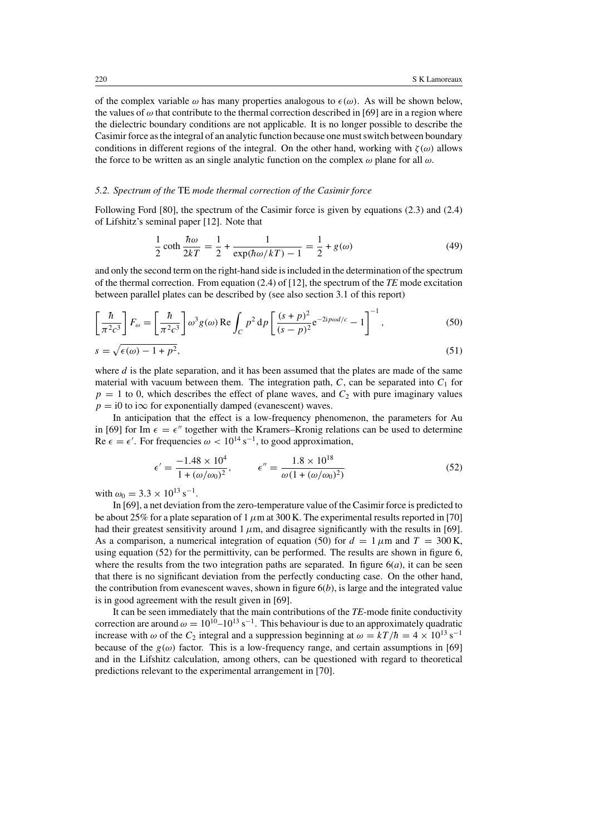of the complex variable  $\omega$  has many properties analogous to  $\epsilon(\omega)$ . As will be shown below, the values of  $\omega$  that contribute to the thermal correction described in [69] are in a region where the dielectric boundary conditions are not applicable. It is no longer possible to describe the Casimir force as the integral of an analytic function because one must switch between boundary conditions in different regions of the integral. On the other hand, working with  $\zeta(\omega)$  allows the force to be written as an single analytic function on the complex *ω* plane for all *ω*.

#### *5.2. Spectrum of the* TE *mode thermal correction of the Casimir force*

Following Ford [80], the spectrum of the Casimir force is given by equations (2.3) and (2.4) of Lifshitz's seminal paper [12]. Note that

$$
\frac{1}{2}\coth\frac{\hbar\omega}{2kT} = \frac{1}{2} + \frac{1}{\exp(\hbar\omega/kT) - 1} = \frac{1}{2} + g(\omega)
$$
(49)

and only the second term on the right-hand side is included in the determination of the spectrum of the thermal correction. From equation (2.4) of [12], the spectrum of the *TE* mode excitation between parallel plates can be described by (see also section 3.1 of this report)

$$
\left[\frac{\hbar}{\pi^2 c^3}\right] F_{\omega} = \left[\frac{\hbar}{\pi^2 c^3}\right] \omega^3 g(\omega) \operatorname{Re} \int_C p^2 d\rho \left[\frac{(s+p)^2}{(s-p)^2} e^{-2ip\omega d/c} - 1\right]^{-1},\tag{50}
$$

$$
s = \sqrt{\epsilon(\omega) - 1 + p^2},\tag{51}
$$

where  $d$  is the plate separation, and it has been assumed that the plates are made of the same material with vacuum between them. The integration path,  $C$ , can be separated into  $C_1$  for  $p = 1$  to 0, which describes the effect of plane waves, and  $C_2$  with pure imaginary values  $p = i0$  to i $\infty$  for exponentially damped (evanescent) waves.

In anticipation that the effect is a low-frequency phenomenon, the parameters for Au in [69] for Im  $\epsilon = \epsilon''$  together with the Kramers–Kronig relations can be used to determine Re  $\epsilon = \epsilon'$ . For frequencies  $\omega < 10^{14} \text{ s}^{-1}$ , to good approximation,

$$
\epsilon' = \frac{-1.48 \times 10^4}{1 + (\omega/\omega_0)^2}, \qquad \epsilon'' = \frac{1.8 \times 10^{18}}{\omega (1 + (\omega/\omega_0)^2)}
$$
(52)

with  $\omega_0 = 3.3 \times 10^{13} \text{ s}^{-1}$ .

In [69], a net deviation from the zero-temperature value of the Casimir force is predicted to be about 25% for a plate separation of 1  $\mu$ m at 300 K. The experimental results reported in [70] had their greatest sensitivity around  $1 \mu m$ , and disagree significantly with the results in [69]. As a comparison, a numerical integration of equation (50) for  $d = 1 \mu m$  and  $T = 300 K$ , using equation (52) for the permittivity, can be performed. The results are shown in figure 6, where the results from the two integration paths are separated. In figure  $6(a)$ , it can be seen that there is no significant deviation from the perfectly conducting case. On the other hand, the contribution from evanescent waves, shown in figure  $6(b)$ , is large and the integrated value is in good agreement with the result given in [69].

It can be seen immediately that the main contributions of the *TE*-mode finite conductivity correction are around  $\omega = 10^{10} - 10^{13} \text{ s}^{-1}$ . This behaviour is due to an approximately quadratic increase with  $\omega$  of the  $C_2$  integral and a suppression beginning at  $\omega = kT/\hbar = 4 \times 10^{13} \text{ s}^{-1}$ because of the  $g(\omega)$  factor. This is a low-frequency range, and certain assumptions in [69] and in the Lifshitz calculation, among others, can be questioned with regard to theoretical predictions relevant to the experimental arrangement in [70].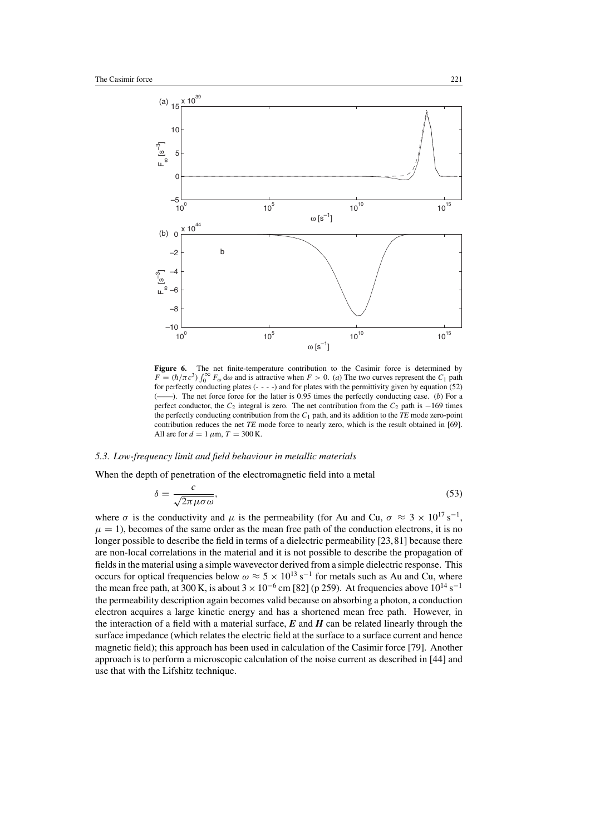

**Figure 6.** The net finite-temperature contribution to the Casimir force is determined by  $F = (\hbar/\pi c^3) \int_0^\infty F_\omega d\omega$  and is attractive when  $F > 0$ . (a) The two curves represent the  $C_1$  path for perfectly conducting plates (- - - -) and for plates with the permittivity given by equation (52) (——). The net force force for the latter is 0*.*95 times the perfectly conducting case. (*b*) For a perfect conductor, the *C*<sup>2</sup> integral is zero. The net contribution from the *C*<sup>2</sup> path is −169 times the perfectly conducting contribution from the  $C_1$  path, and its addition to the  $TE$  mode zero-point contribution reduces the net *TE* mode force to nearly zero, which is the result obtained in [69]. All are for  $d = 1 \mu \text{m}$ ,  $T = 300 \text{ K}$ .

## *5.3. Low-frequency limit and field behaviour in metallic materials*

When the depth of penetration of the electromagnetic field into a metal

$$
\delta = \frac{c}{\sqrt{2\pi\mu\sigma\omega}},\tag{53}
$$

where  $\sigma$  is the conductivity and  $\mu$  is the permeability (for Au and Cu,  $\sigma \approx 3 \times 10^{17} \text{ s}^{-1}$ ,  $\mu = 1$ ), becomes of the same order as the mean free path of the conduction electrons, it is no longer possible to describe the field in terms of a dielectric permeability [23,81] because there are non-local correlations in the material and it is not possible to describe the propagation of fields in the material using a simple wavevector derived from a simple dielectric response. This occurs for optical frequencies below  $\omega \approx 5 \times 10^{13} \text{ s}^{-1}$  for metals such as Au and Cu, where the mean free path, at 300 K, is about  $3 \times 10^{-6}$  cm [82] (p 259). At frequencies above  $10^{14}$  s<sup>-1</sup> the permeability description again becomes valid because on absorbing a photon, a conduction electron acquires a large kinetic energy and has a shortened mean free path. However, in the interaction of a field with a material surface,  $E$  and  $H$  can be related linearly through the surface impedance (which relates the electric field at the surface to a surface current and hence magnetic field); this approach has been used in calculation of the Casimir force [79]. Another approach is to perform a microscopic calculation of the noise current as described in [44] and use that with the Lifshitz technique.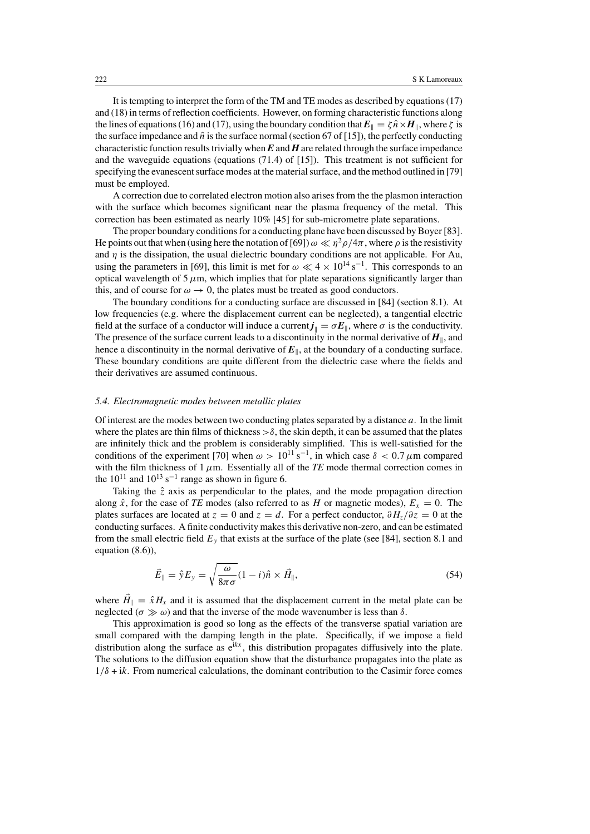It is tempting to interpret the form of the TM and TE modes as described by equations (17) and (18) in terms of reflection coefficients. However, on forming characteristic functions along the lines of equations (16) and (17), using the boundary condition that  $E_{\parallel} = \zeta \hat{n} \times H_{\parallel}$ , where  $\zeta$  is the surface impedance and  $\hat{n}$  is the surface normal (section 67 of [15]), the perfectly conducting characteristic function results trivially when *E* and *H* are related through the surface impedance and the waveguide equations (equations (71.4) of [15]). This treatment is not sufficient for specifying the evanescent surface modes at the material surface, and the method outlined in [79] must be employed.

A correction due to correlated electron motion also arises from the the plasmon interaction with the surface which becomes significant near the plasma frequency of the metal. This correction has been estimated as nearly 10% [45] for sub-micrometre plate separations.

The proper boundary conditions for a conducting plane have been discussed by Boyer [83]. He points out that when (using here the notation of [69])  $\omega \ll \eta^2 \rho / 4\pi$ , where  $\rho$  is the resistivity and  $\eta$  is the dissipation, the usual dielectric boundary conditions are not applicable. For Au, using the parameters in [69], this limit is met for  $\omega \ll 4 \times 10^{14}$  s<sup>-1</sup>. This corresponds to an optical wavelength of  $5 \mu$ m, which implies that for plate separations significantly larger than this, and of course for  $\omega \to 0$ , the plates must be treated as good conductors.

The boundary conditions for a conducting surface are discussed in [84] (section 8.1). At low frequencies (e.g. where the displacement current can be neglected), a tangential electric field at the surface of a conductor will induce a current  $j_{\parallel} = \sigma E_{\parallel}$ , where  $\sigma$  is the conductivity. The presence of the surface current leads to a discontinuity in the normal derivative of  $H_{\parallel}$ , and hence a discontinuity in the normal derivative of  $E_{\parallel}$ , at the boundary of a conducting surface. These boundary conditions are quite different from the dielectric case where the fields and their derivatives are assumed continuous.

## *5.4. Electromagnetic modes between metallic plates*

Of interest are the modes between two conducting plates separated by a distance *a*. In the limit where the plates are thin films of thickness  $>\delta$ , the skin depth, it can be assumed that the plates are infinitely thick and the problem is considerably simplified. This is well-satisfied for the conditions of the experiment [70] when  $\omega > 10^{11}$  s<sup>-1</sup>, in which case  $\delta < 0.7 \mu$ m compared with the film thickness of  $1 \mu$ m. Essentially all of the *TE* mode thermal correction comes in the  $10^{11}$  and  $10^{13}$  s<sup>-1</sup> range as shown in figure 6.

Taking the  $\hat{z}$  axis as perpendicular to the plates, and the mode propagation direction along  $\hat{x}$ , for the case of *TE* modes (also referred to as *H* or magnetic modes),  $E_x = 0$ . The plates surfaces are located at  $z = 0$  and  $z = d$ . For a perfect conductor,  $\frac{\partial H_z}{\partial z} = 0$  at the conducting surfaces. A finite conductivity makes this derivative non-zero, and can be estimated from the small electric field  $E_y$  that exists at the surface of the plate (see [84], section 8.1 and equation (8.6)),

$$
\vec{E}_{\parallel} = \hat{y}E_{y} = \sqrt{\frac{\omega}{8\pi\sigma}}(1 - i)\hat{n} \times \vec{H}_{\parallel},
$$
\n(54)

where  $\vec{H}_{\parallel} = \hat{x}H_x$  and it is assumed that the displacement current in the metal plate can be neglected ( $\sigma \gg \omega$ ) and that the inverse of the mode wavenumber is less than  $\delta$ .

This approximation is good so long as the effects of the transverse spatial variation are small compared with the damping length in the plate. Specifically, if we impose a field distribution along the surface as  $e^{ikx}$ , this distribution propagates diffusively into the plate. The solutions to the diffusion equation show that the disturbance propagates into the plate as  $1/\delta$  + ik. From numerical calculations, the dominant contribution to the Casimir force comes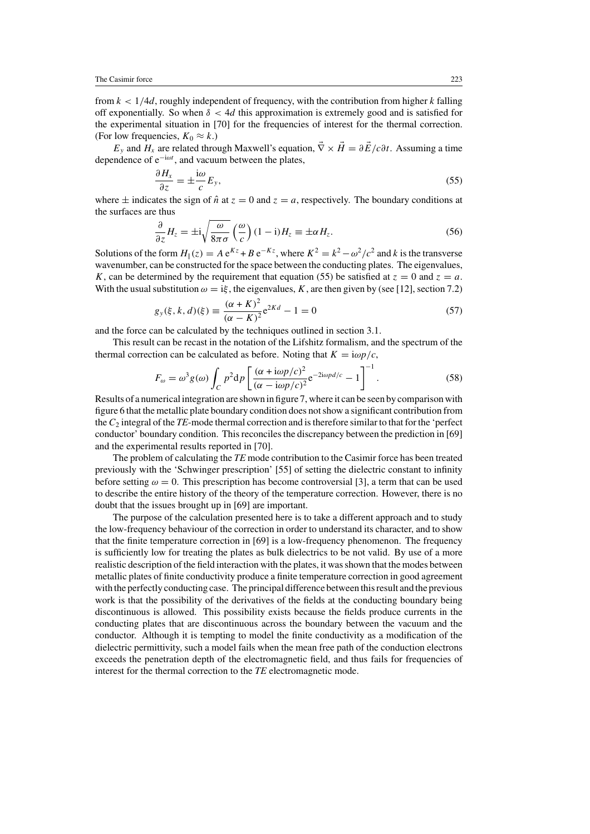from  $k < 1/4d$ , roughly independent of frequency, with the contribution from higher k falling off exponentially. So when *δ <* 4*d* this approximation is extremely good and is satisfied for the experimental situation in [70] for the frequencies of interest for the thermal correction. (For low frequencies,  $K_0 \approx k$ .)

 $E_y$  and  $H_x$  are related through Maxwell's equation,  $\vec{\nabla} \times \vec{H} = \partial \vec{E}/c\partial t$ . Assuming a time dependence of e−i*ωt* , and vacuum between the plates,

$$
\frac{\partial H_x}{\partial z} = \pm \frac{\mathrm{i}\omega}{c} E_y,\tag{55}
$$

where  $\pm$  indicates the sign of  $\hat{n}$  at  $z = 0$  and  $z = a$ , respectively. The boundary conditions at the surfaces are thus

$$
\frac{\partial}{\partial z} H_z = \pm i \sqrt{\frac{\omega}{8\pi\sigma}} \left(\frac{\omega}{c}\right) (1 - i) H_z \equiv \pm \alpha H_z.
$$
 (56)

Solutions of the form  $H_1(z) = Ae^{Kz} + Be^{-Kz}$ , where  $K^2 = k^2 - \omega^2/c^2$  and *k* is the transverse wavenumber, can be constructed for the space between the conducting plates. The eigenvalues, *K*, can be determined by the requirement that equation (55) be satisfied at  $z = 0$  and  $z = a$ . With the usual substitution  $\omega = i\xi$ , the eigenvalues, *K*, are then given by (see [12], section 7.2)

$$
g_y(\xi, k, d)(\xi) \equiv \frac{(\alpha + K)^2}{(\alpha - K)^2} e^{2Kd} - 1 = 0
$$
\n(57)

and the force can be calculated by the techniques outlined in section 3.1.

This result can be recast in the notation of the Lifshitz formalism, and the spectrum of the thermal correction can be calculated as before. Noting that  $K = i\omega p/c$ ,

$$
F_{\omega} = \omega^3 g(\omega) \int_C p^2 dp \left[ \frac{(\alpha + i\omega p/c)^2}{(\alpha - i\omega p/c)^2} e^{-2i\omega p d/c} - 1 \right]^{-1}.
$$
 (58)

Results of a numerical integration are shown in figure 7, where it can be seen by comparison with figure 6 that the metallic plate boundary condition does not show a significant contribution from the*C*<sup>2</sup> integral of the *TE*-mode thermal correction and is therefore similar to that for the 'perfect conductor' boundary condition. This reconciles the discrepancy between the prediction in [69] and the experimental results reported in [70].

The problem of calculating the *TE* mode contribution to the Casimir force has been treated previously with the 'Schwinger prescription' [55] of setting the dielectric constant to infinity before setting  $\omega = 0$ . This prescription has become controversial [3], a term that can be used to describe the entire history of the theory of the temperature correction. However, there is no doubt that the issues brought up in [69] are important.

The purpose of the calculation presented here is to take a different approach and to study the low-frequency behaviour of the correction in order to understand its character, and to show that the finite temperature correction in [69] is a low-frequency phenomenon. The frequency is sufficiently low for treating the plates as bulk dielectrics to be not valid. By use of a more realistic description of the field interaction with the plates, it was shown that the modes between metallic plates of finite conductivity produce a finite temperature correction in good agreement with the perfectly conducting case. The principal difference between this result and the previous work is that the possibility of the derivatives of the fields at the conducting boundary being discontinuous is allowed. This possibility exists because the fields produce currents in the conducting plates that are discontinuous across the boundary between the vacuum and the conductor. Although it is tempting to model the finite conductivity as a modification of the dielectric permittivity, such a model fails when the mean free path of the conduction electrons exceeds the penetration depth of the electromagnetic field, and thus fails for frequencies of interest for the thermal correction to the *TE* electromagnetic mode.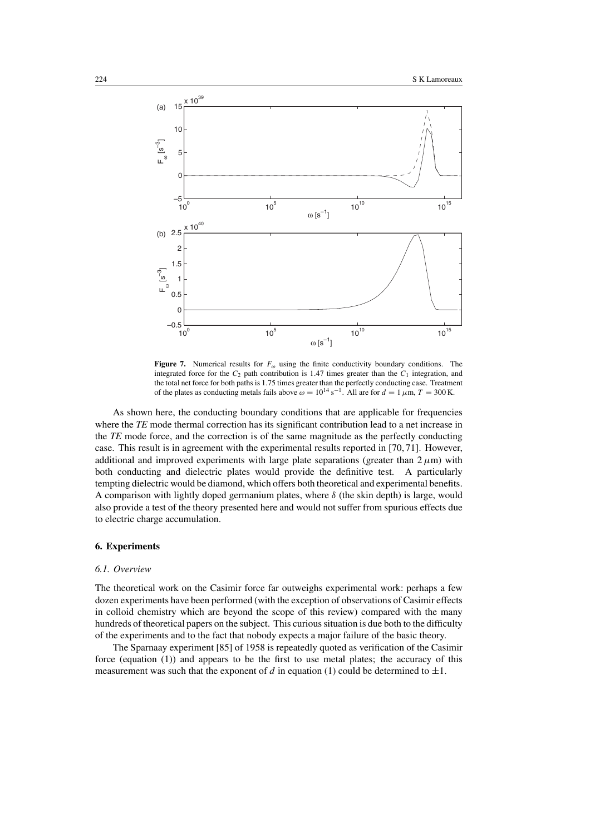

**Figure 7.** Numerical results for  $F_\omega$  using the finite conductivity boundary conditions. The integrated force for the  $C_2$  path contribution is 1.47 times greater than the  $C_1$  integration, and the total net force for both paths is 1*.*75 times greater than the perfectly conducting case. Treatment of the plates as conducting metals fails above  $\omega = 10^{14} \text{ s}^{-1}$ . All are for  $d = 1 \mu \text{m}$ ,  $T = 300 \text{ K}$ .

As shown here, the conducting boundary conditions that are applicable for frequencies where the *TE* mode thermal correction has its significant contribution lead to a net increase in the *TE* mode force, and the correction is of the same magnitude as the perfectly conducting case. This result is in agreement with the experimental results reported in [70, 71]. However, additional and improved experiments with large plate separations (greater than  $2 \mu m$ ) with both conducting and dielectric plates would provide the definitive test. A particularly tempting dielectric would be diamond, which offers both theoretical and experimental benefits. A comparison with lightly doped germanium plates, where  $\delta$  (the skin depth) is large, would also provide a test of the theory presented here and would not suffer from spurious effects due to electric charge accumulation.

#### **6. Experiments**

#### *6.1. Overview*

The theoretical work on the Casimir force far outweighs experimental work: perhaps a few dozen experiments have been performed (with the exception of observations of Casimir effects in colloid chemistry which are beyond the scope of this review) compared with the many hundreds of theoretical papers on the subject. This curious situation is due both to the difficulty of the experiments and to the fact that nobody expects a major failure of the basic theory.

The Sparnaay experiment [85] of 1958 is repeatedly quoted as verification of the Casimir force (equation (1)) and appears to be the first to use metal plates; the accuracy of this measurement was such that the exponent of *d* in equation (1) could be determined to  $\pm 1$ .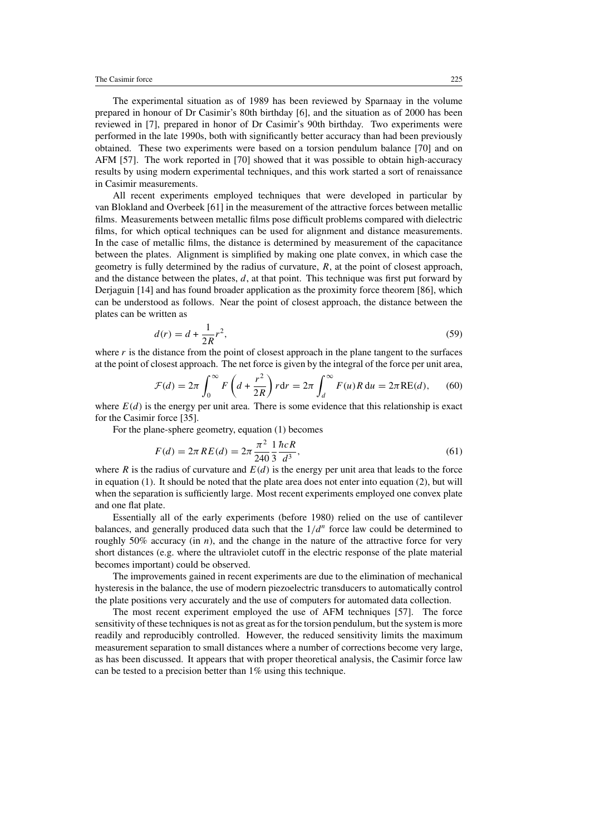The experimental situation as of 1989 has been reviewed by Sparnaay in the volume prepared in honour of Dr Casimir's 80th birthday [6], and the situation as of 2000 has been reviewed in [7], prepared in honor of Dr Casimir's 90th birthday. Two experiments were performed in the late 1990s, both with significantly better accuracy than had been previously obtained. These two experiments were based on a torsion pendulum balance [70] and on AFM [57]. The work reported in [70] showed that it was possible to obtain high-accuracy results by using modern experimental techniques, and this work started a sort of renaissance in Casimir measurements.

All recent experiments employed techniques that were developed in particular by van Blokland and Overbeek [61] in the measurement of the attractive forces between metallic films. Measurements between metallic films pose difficult problems compared with dielectric films, for which optical techniques can be used for alignment and distance measurements. In the case of metallic films, the distance is determined by measurement of the capacitance between the plates. Alignment is simplified by making one plate convex, in which case the geometry is fully determined by the radius of curvature, *R*, at the point of closest approach, and the distance between the plates, *d*, at that point. This technique was first put forward by Derjaguin [14] and has found broader application as the proximity force theorem [86], which can be understood as follows. Near the point of closest approach, the distance between the plates can be written as

$$
d(r) = d + \frac{1}{2R}r^2,
$$
\n(59)

where  $r$  is the distance from the point of closest approach in the plane tangent to the surfaces at the point of closest approach. The net force is given by the integral of the force per unit area,

$$
\mathcal{F}(d) = 2\pi \int_0^\infty F\left(d + \frac{r^2}{2R}\right) r \, dr = 2\pi \int_d^\infty F(u) R \, du = 2\pi \text{RE}(d),\qquad(60)
$$

where  $E(d)$  is the energy per unit area. There is some evidence that this relationship is exact for the Casimir force [35].

For the plane-sphere geometry, equation (1) becomes

$$
F(d) = 2\pi \, RE(d) = 2\pi \, \frac{\pi^2}{240} \frac{1}{3} \frac{\hbar c R}{d^3},\tag{61}
$$

where *R* is the radius of curvature and  $E(d)$  is the energy per unit area that leads to the force in equation (1). It should be noted that the plate area does not enter into equation (2), but will when the separation is sufficiently large. Most recent experiments employed one convex plate and one flat plate.

Essentially all of the early experiments (before 1980) relied on the use of cantilever balances, and generally produced data such that the  $1/d^n$  force law could be determined to roughly 50% accuracy (in  $n$ ), and the change in the nature of the attractive force for very short distances (e.g. where the ultraviolet cutoff in the electric response of the plate material becomes important) could be observed.

The improvements gained in recent experiments are due to the elimination of mechanical hysteresis in the balance, the use of modern piezoelectric transducers to automatically control the plate positions very accurately and the use of computers for automated data collection.

The most recent experiment employed the use of AFM techniques [57]. The force sensitivity of these techniques is not as great as for the torsion pendulum, but the system is more readily and reproducibly controlled. However, the reduced sensitivity limits the maximum measurement separation to small distances where a number of corrections become very large, as has been discussed. It appears that with proper theoretical analysis, the Casimir force law can be tested to a precision better than 1% using this technique.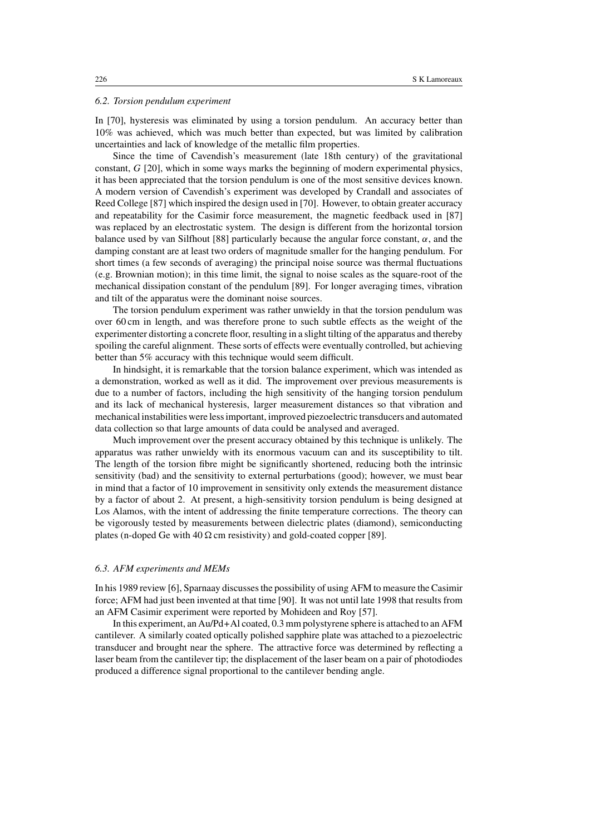#### *6.2. Torsion pendulum experiment*

In [70], hysteresis was eliminated by using a torsion pendulum. An accuracy better than 10% was achieved, which was much better than expected, but was limited by calibration uncertainties and lack of knowledge of the metallic film properties.

Since the time of Cavendish's measurement (late 18th century) of the gravitational constant, *G* [20], which in some ways marks the beginning of modern experimental physics, it has been appreciated that the torsion pendulum is one of the most sensitive devices known. A modern version of Cavendish's experiment was developed by Crandall and associates of Reed College [87] which inspired the design used in [70]. However, to obtain greater accuracy and repeatability for the Casimir force measurement, the magnetic feedback used in [87] was replaced by an electrostatic system. The design is different from the horizontal torsion balance used by van Silfhout [88] particularly because the angular force constant,  $\alpha$ , and the damping constant are at least two orders of magnitude smaller for the hanging pendulum. For short times (a few seconds of averaging) the principal noise source was thermal fluctuations (e.g. Brownian motion); in this time limit, the signal to noise scales as the square-root of the mechanical dissipation constant of the pendulum [89]. For longer averaging times, vibration and tilt of the apparatus were the dominant noise sources.

The torsion pendulum experiment was rather unwieldy in that the torsion pendulum was over 60 cm in length, and was therefore prone to such subtle effects as the weight of the experimenter distorting a concrete floor, resulting in a slight tilting of the apparatus and thereby spoiling the careful alignment. These sorts of effects were eventually controlled, but achieving better than 5% accuracy with this technique would seem difficult.

In hindsight, it is remarkable that the torsion balance experiment, which was intended as a demonstration, worked as well as it did. The improvement over previous measurements is due to a number of factors, including the high sensitivity of the hanging torsion pendulum and its lack of mechanical hysteresis, larger measurement distances so that vibration and mechanical instabilities were less important, improved piezoelectric transducers and automated data collection so that large amounts of data could be analysed and averaged.

Much improvement over the present accuracy obtained by this technique is unlikely. The apparatus was rather unwieldy with its enormous vacuum can and its susceptibility to tilt. The length of the torsion fibre might be significantly shortened, reducing both the intrinsic sensitivity (bad) and the sensitivity to external perturbations (good); however, we must bear in mind that a factor of 10 improvement in sensitivity only extends the measurement distance by a factor of about 2. At present, a high-sensitivity torsion pendulum is being designed at Los Alamos, with the intent of addressing the finite temperature corrections. The theory can be vigorously tested by measurements between dielectric plates (diamond), semiconducting plates (n-doped Ge with  $40 \Omega$  cm resistivity) and gold-coated copper [89].

#### *6.3. AFM experiments and MEMs*

In his 1989 review [6], Sparnaay discusses the possibility of using AFM to measure the Casimir force; AFM had just been invented at that time [90]. It was not until late 1998 that results from an AFM Casimir experiment were reported by Mohideen and Roy [57].

In this experiment, an Au/Pd+Al coated, 0.3 mm polystyrene sphere is attached to an AFM cantilever. A similarly coated optically polished sapphire plate was attached to a piezoelectric transducer and brought near the sphere. The attractive force was determined by reflecting a laser beam from the cantilever tip; the displacement of the laser beam on a pair of photodiodes produced a difference signal proportional to the cantilever bending angle.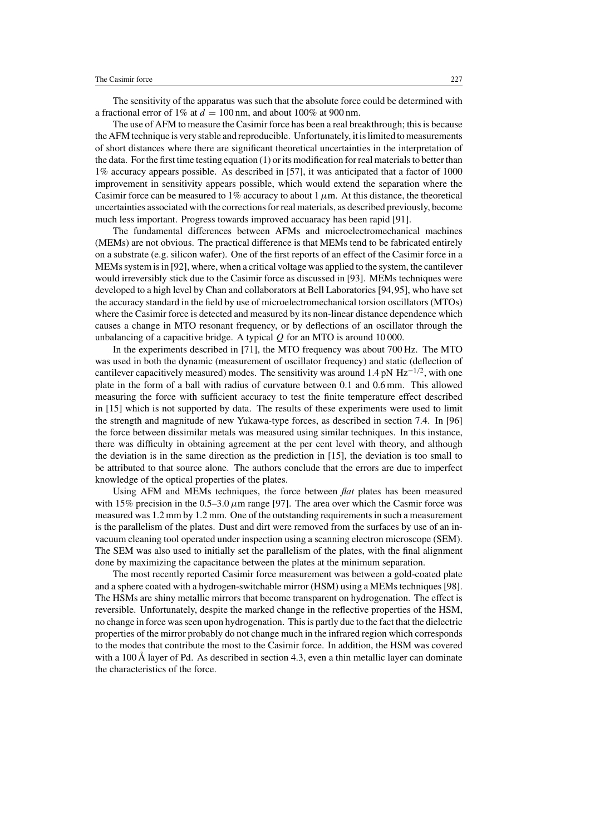The sensitivity of the apparatus was such that the absolute force could be determined with a fractional error of 1% at  $d = 100$  nm, and about 100% at 900 nm.

The use of AFM to measure the Casimir force has been a real breakthrough; this is because the AFM technique is very stable and reproducible. Unfortunately, it is limited to measurements of short distances where there are significant theoretical uncertainties in the interpretation of the data. For the first time testing equation (1) or its modification for real materials to better than 1% accuracy appears possible. As described in [57], it was anticipated that a factor of 1000 improvement in sensitivity appears possible, which would extend the separation where the Casimir force can be measured to 1% accuracy to about 1  $\mu$ m. At this distance, the theoretical uncertainties associated with the corrections for real materials, as described previously, become much less important. Progress towards improved accuaracy has been rapid [91].

The fundamental differences between AFMs and microelectromechanical machines (MEMs) are not obvious. The practical difference is that MEMs tend to be fabricated entirely on a substrate (e.g. silicon wafer). One of the first reports of an effect of the Casimir force in a MEMs system is in [92], where, when a critical voltage was applied to the system, the cantilever would irreversibly stick due to the Casimir force as discussed in [93]. MEMs techniques were developed to a high level by Chan and collaborators at Bell Laboratories [94,95], who have set the accuracy standard in the field by use of microelectromechanical torsion oscillators (MTOs) where the Casimir force is detected and measured by its non-linear distance dependence which causes a change in MTO resonant frequency, or by deflections of an oscillator through the unbalancing of a capacitive bridge. A typical *Q* for an MTO is around 10 000.

In the experiments described in [71], the MTO frequency was about 700 Hz. The MTO was used in both the dynamic (measurement of oscillator frequency) and static (deflection of cantilever capacitively measured) modes. The sensitivity was around 1.4 pN  $Hz^{-1/2}$ , with one plate in the form of a ball with radius of curvature between 0.1 and 0.6 mm. This allowed measuring the force with sufficient accuracy to test the finite temperature effect described in [15] which is not supported by data. The results of these experiments were used to limit the strength and magnitude of new Yukawa-type forces, as described in section 7.4. In [96] the force between dissimilar metals was measured using similar techniques. In this instance, there was difficulty in obtaining agreement at the per cent level with theory, and although the deviation is in the same direction as the prediction in [15], the deviation is too small to be attributed to that source alone. The authors conclude that the errors are due to imperfect knowledge of the optical properties of the plates.

Using AFM and MEMs techniques, the force between *flat* plates has been measured with 15% precision in the  $0.5-3.0 \,\mu$ m range [97]. The area over which the Casmir force was measured was 1.2 mm by 1.2 mm. One of the outstanding requirements in such a measurement is the parallelism of the plates. Dust and dirt were removed from the surfaces by use of an invacuum cleaning tool operated under inspection using a scanning electron microscope (SEM). The SEM was also used to initially set the parallelism of the plates, with the final alignment done by maximizing the capacitance between the plates at the minimum separation.

The most recently reported Casimir force measurement was between a gold-coated plate and a sphere coated with a hydrogen-switchable mirror (HSM) using a MEMs techniques [98]. The HSMs are shiny metallic mirrors that become transparent on hydrogenation. The effect is reversible. Unfortunately, despite the marked change in the reflective properties of the HSM, no change in force was seen upon hydrogenation. This is partly due to the fact that the dielectric properties of the mirror probably do not change much in the infrared region which corresponds to the modes that contribute the most to the Casimir force. In addition, the HSM was covered with a 100 Å layer of Pd. As described in section 4.3, even a thin metallic layer can dominate the characteristics of the force.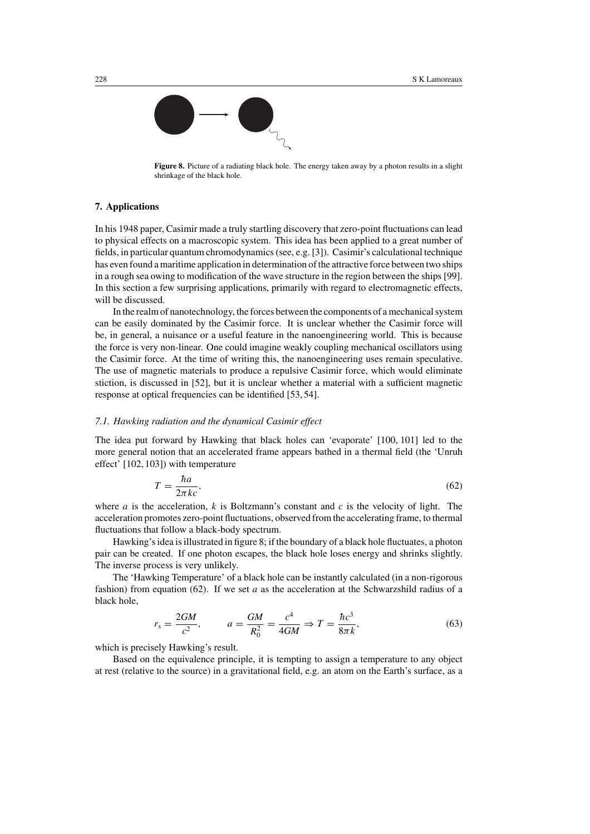

**Figure 8.** Picture of a radiating black hole. The energy taken away by a photon results in a slight shrinkage of the black hole.

## **7. Applications**

In his 1948 paper, Casimir made a truly startling discovery that zero-point fluctuations can lead to physical effects on a macroscopic system. This idea has been applied to a great number of fields, in particular quantum chromodynamics (see, e.g. [3]). Casimir's calculational technique has even found a maritime application in determination of the attractive force between two ships in a rough sea owing to modification of the wave structure in the region between the ships [99]. In this section a few surprising applications, primarily with regard to electromagnetic effects, will be discussed.

In the realm of nanotechnology, the forces between the components of a mechanical system can be easily dominated by the Casimir force. It is unclear whether the Casimir force will be, in general, a nuisance or a useful feature in the nanoengineering world. This is because the force is very non-linear. One could imagine weakly coupling mechanical oscillators using the Casimir force. At the time of writing this, the nanoengineering uses remain speculative. The use of magnetic materials to produce a repulsive Casimir force, which would eliminate stiction, is discussed in [52], but it is unclear whether a material with a sufficient magnetic response at optical frequencies can be identified [53, 54].

## *7.1. Hawking radiation and the dynamical Casimir effect*

The idea put forward by Hawking that black holes can 'evaporate' [100, 101] led to the more general notion that an accelerated frame appears bathed in a thermal field (the 'Unruh effect' [102, 103]) with temperature

$$
T = \frac{\hbar a}{2\pi k c},\tag{62}
$$

where *a* is the acceleration, *k* is Boltzmann's constant and *c* is the velocity of light. The acceleration promotes zero-point fluctuations, observed from the accelerating frame, to thermal fluctuations that follow a black-body spectrum.

Hawking's idea is illustrated in figure 8; if the boundary of a black hole fluctuates, a photon pair can be created. If one photon escapes, the black hole loses energy and shrinks slightly. The inverse process is very unlikely.

The 'Hawking Temperature' of a black hole can be instantly calculated (in a non-rigorous fashion) from equation (62). If we set *a* as the acceleration at the Schwarzshild radius of a black hole,

$$
r_s = \frac{2GM}{c^2}
$$
,  $a = \frac{GM}{R_0^2} = \frac{c^4}{4GM} \Rightarrow T = \frac{\hbar c^3}{8\pi k}$ , (63)

which is precisely Hawking's result.

Based on the equivalence principle, it is tempting to assign a temperature to any object at rest (relative to the source) in a gravitational field, e.g. an atom on the Earth's surface, as a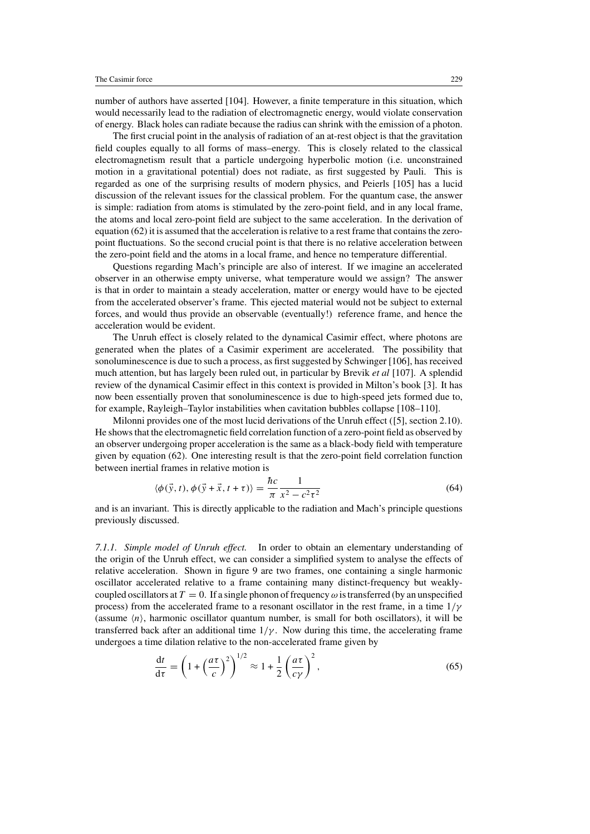number of authors have asserted [104]. However, a finite temperature in this situation, which would necessarily lead to the radiation of electromagnetic energy, would violate conservation of energy. Black holes can radiate because the radius can shrink with the emission of a photon.

The first crucial point in the analysis of radiation of an at-rest object is that the gravitation field couples equally to all forms of mass–energy. This is closely related to the classical electromagnetism result that a particle undergoing hyperbolic motion (i.e. unconstrained motion in a gravitational potential) does not radiate, as first suggested by Pauli. This is regarded as one of the surprising results of modern physics, and Peierls [105] has a lucid discussion of the relevant issues for the classical problem. For the quantum case, the answer is simple: radiation from atoms is stimulated by the zero-point field, and in any local frame, the atoms and local zero-point field are subject to the same acceleration. In the derivation of equation (62) it is assumed that the acceleration is relative to a rest frame that contains the zeropoint fluctuations. So the second crucial point is that there is no relative acceleration between the zero-point field and the atoms in a local frame, and hence no temperature differential.

Questions regarding Mach's principle are also of interest. If we imagine an accelerated observer in an otherwise empty universe, what temperature would we assign? The answer is that in order to maintain a steady acceleration, matter or energy would have to be ejected from the accelerated observer's frame. This ejected material would not be subject to external forces, and would thus provide an observable (eventually!) reference frame, and hence the acceleration would be evident.

The Unruh effect is closely related to the dynamical Casimir effect, where photons are generated when the plates of a Casimir experiment are accelerated. The possibility that sonoluminescence is due to such a process, as first suggested by Schwinger [106], has received much attention, but has largely been ruled out, in particular by Brevik *et al* [107]. A splendid review of the dynamical Casimir effect in this context is provided in Milton's book [3]. It has now been essentially proven that sonoluminescence is due to high-speed jets formed due to, for example, Rayleigh–Taylor instabilities when cavitation bubbles collapse [108–110].

Milonni provides one of the most lucid derivations of the Unruh effect ([5], section 2.10). He shows that the electromagnetic field correlation function of a zero-point field as observed by an observer undergoing proper acceleration is the same as a black-body field with temperature given by equation (62). One interesting result is that the zero-point field correlation function between inertial frames in relative motion is

$$
\langle \phi(\vec{y}, t), \phi(\vec{y} + \vec{x}, t + \tau) \rangle = \frac{\hbar c}{\pi} \frac{1}{x^2 - c^2 \tau^2}
$$
(64)

and is an invariant. This is directly applicable to the radiation and Mach's principle questions previously discussed.

*7.1.1. Simple model of Unruh effect.* In order to obtain an elementary understanding of the origin of the Unruh effect, we can consider a simplified system to analyse the effects of relative acceleration. Shown in figure 9 are two frames, one containing a single harmonic oscillator accelerated relative to a frame containing many distinct-frequency but weaklycoupled oscillators at  $T = 0$ . If a single phonon of frequency  $\omega$  is transferred (by an unspecified process) from the accelerated frame to a resonant oscillator in the rest frame, in a time 1*/γ* (assume  $\langle n \rangle$ , harmonic oscillator quantum number, is small for both oscillators), it will be transferred back after an additional time  $1/\gamma$ . Now during this time, the accelerating frame undergoes a time dilation relative to the non-accelerated frame given by

$$
\frac{dt}{d\tau} = \left(1 + \left(\frac{a\tau}{c}\right)^2\right)^{1/2} \approx 1 + \frac{1}{2}\left(\frac{a\tau}{c\gamma}\right)^2,\tag{65}
$$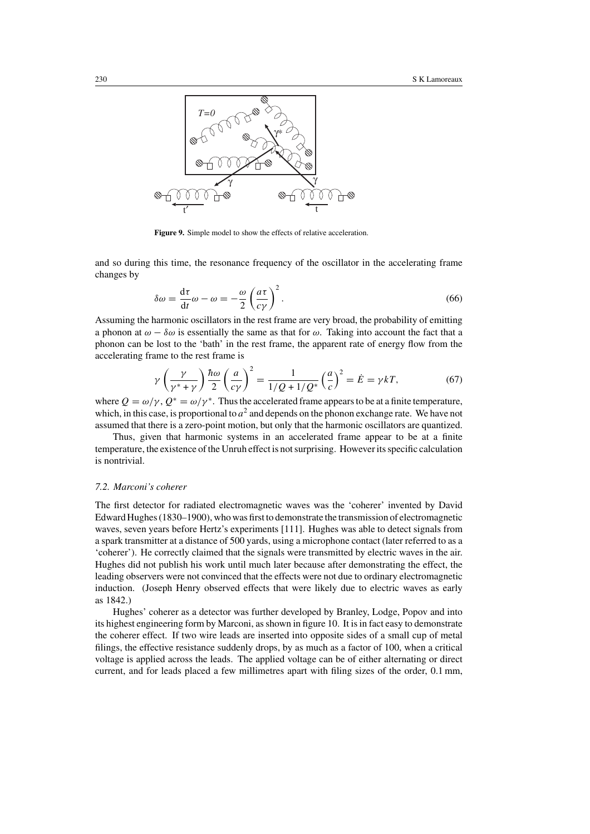

**Figure 9.** Simple model to show the effects of relative acceleration.

and so during this time, the resonance frequency of the oscillator in the accelerating frame changes by

$$
\delta\omega = \frac{d\tau}{dt}\omega - \omega = -\frac{\omega}{2}\left(\frac{a\tau}{c\gamma}\right)^2.
$$
\n(66)

Assuming the harmonic oscillators in the rest frame are very broad, the probability of emitting a phonon at  $\omega - \delta \omega$  is essentially the same as that for  $\omega$ . Taking into account the fact that a phonon can be lost to the 'bath' in the rest frame, the apparent rate of energy flow from the accelerating frame to the rest frame is

$$
\gamma \left(\frac{\gamma}{\gamma^* + \gamma}\right) \frac{\hbar \omega}{2} \left(\frac{a}{c\gamma}\right)^2 = \frac{1}{1/Q + 1/Q^*} \left(\frac{a}{c}\right)^2 = \dot{E} = \gamma kT,\tag{67}
$$

where  $Q = \omega/\gamma$ ,  $Q^* = \omega/\gamma^*$ . Thus the accelerated frame appears to be at a finite temperature, which, in this case, is proportional to  $a<sup>2</sup>$  and depends on the phonon exchange rate. We have not assumed that there is a zero-point motion, but only that the harmonic oscillators are quantized.

Thus, given that harmonic systems in an accelerated frame appear to be at a finite temperature, the existence of the Unruh effect is not surprising. However its specific calculation is nontrivial.

#### *7.2. Marconi's coherer*

The first detector for radiated electromagnetic waves was the 'coherer' invented by David Edward Hughes (1830–1900), who was first to demonstrate the transmission of electromagnetic waves, seven years before Hertz's experiments [111]. Hughes was able to detect signals from a spark transmitter at a distance of 500 yards, using a microphone contact (later referred to as a 'coherer'). He correctly claimed that the signals were transmitted by electric waves in the air. Hughes did not publish his work until much later because after demonstrating the effect, the leading observers were not convinced that the effects were not due to ordinary electromagnetic induction. (Joseph Henry observed effects that were likely due to electric waves as early as 1842.)

Hughes' coherer as a detector was further developed by Branley, Lodge, Popov and into its highest engineering form by Marconi, as shown in figure 10. It is in fact easy to demonstrate the coherer effect. If two wire leads are inserted into opposite sides of a small cup of metal filings, the effective resistance suddenly drops, by as much as a factor of 100, when a critical voltage is applied across the leads. The applied voltage can be of either alternating or direct current, and for leads placed a few millimetres apart with filing sizes of the order, 0.1 mm,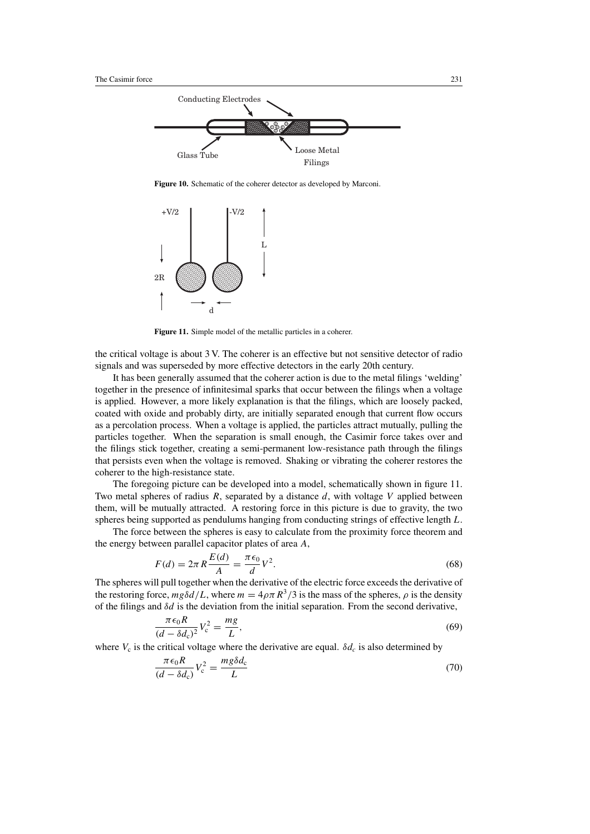

**Figure 10.** Schematic of the coherer detector as developed by Marconi.



**Figure 11.** Simple model of the metallic particles in a coherer.

the critical voltage is about 3 V. The coherer is an effective but not sensitive detector of radio signals and was superseded by more effective detectors in the early 20th century.

It has been generally assumed that the coherer action is due to the metal filings 'welding' together in the presence of infinitesimal sparks that occur between the filings when a voltage is applied. However, a more likely explanation is that the filings, which are loosely packed, coated with oxide and probably dirty, are initially separated enough that current flow occurs as a percolation process. When a voltage is applied, the particles attract mutually, pulling the particles together. When the separation is small enough, the Casimir force takes over and the filings stick together, creating a semi-permanent low-resistance path through the filings that persists even when the voltage is removed. Shaking or vibrating the coherer restores the coherer to the high-resistance state.

The foregoing picture can be developed into a model, schematically shown in figure 11. Two metal spheres of radius *R*, separated by a distance *d*, with voltage *V* applied between them, will be mutually attracted. A restoring force in this picture is due to gravity, the two spheres being supported as pendulums hanging from conducting strings of effective length *L*.

The force between the spheres is easy to calculate from the proximity force theorem and the energy between parallel capacitor plates of area *A*,

$$
F(d) = 2\pi R \frac{E(d)}{A} = \frac{\pi \epsilon_0}{d} V^2.
$$
 (68)

The spheres will pull together when the derivative of the electric force exceeds the derivative of the restoring force,  $mg\delta d/L$ , where  $m = 4\rho\pi R^3/3$  is the mass of the spheres,  $\rho$  is the density of the filings and  $\delta d$  is the deviation from the initial separation. From the second derivative,

$$
\frac{\pi\epsilon_0 R}{(d-\delta d_c)^2}V_c^2 = \frac{mg}{L},\tag{69}
$$

where  $V_c$  is the critical voltage where the derivative are equal.  $\delta d_c$  is also determined by

$$
\frac{\pi\epsilon_0 R}{(d-\delta d_c)}V_c^2 = \frac{mg\delta d_c}{L}
$$
\n(70)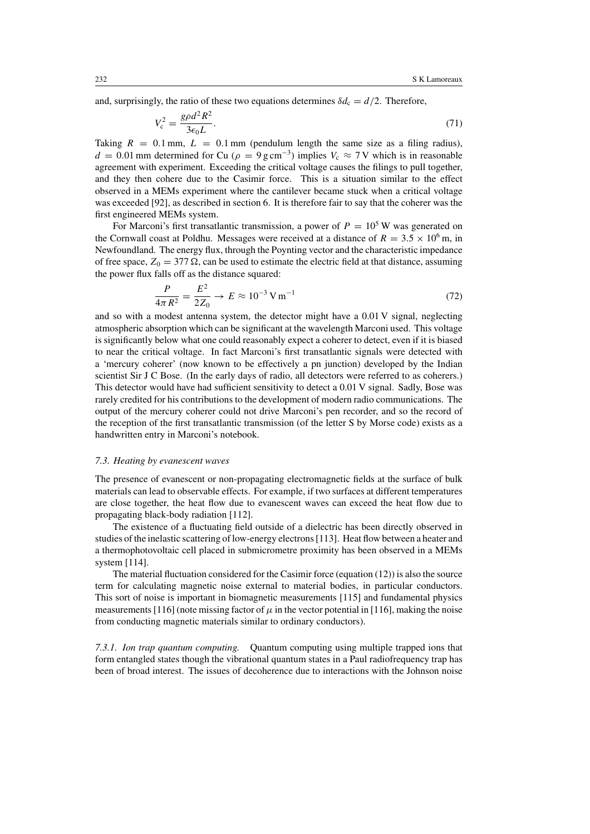and, surprisingly, the ratio of these two equations determines  $\delta d_c = d/2$ . Therefore,

$$
V_c^2 = \frac{g\rho d^2 R^2}{3\epsilon_0 L}.\tag{71}
$$

Taking  $R = 0.1$  mm,  $L = 0.1$  mm (pendulum length the same size as a filing radius),  $d = 0.01$  mm determined for Cu ( $\rho = 9$  g cm<sup>-3</sup>) implies  $V_c \approx 7$  V which is in reasonable agreement with experiment. Exceeding the critical voltage causes the filings to pull together, and they then cohere due to the Casimir force. This is a situation similar to the effect observed in a MEMs experiment where the cantilever became stuck when a critical voltage was exceeded [92], as described in section 6. It is therefore fair to say that the coherer was the first engineered MEMs system.

For Marconi's first transatlantic transmission, a power of  $P = 10<sup>5</sup>$  W was generated on the Cornwall coast at Poldhu. Messages were received at a distance of  $R = 3.5 \times 10^6$  m, in Newfoundland. The energy flux, through the Poynting vector and the characteristic impedance of free space,  $Z_0 = 377 \Omega$ , can be used to estimate the electric field at that distance, assuming the power flux falls off as the distance squared:

$$
\frac{P}{4\pi R^2} = \frac{E^2}{2Z_0} \to E \approx 10^{-3} \,\text{V m}^{-1} \tag{72}
$$

and so with a modest antenna system, the detector might have a 0.01 V signal, neglecting atmospheric absorption which can be significant at the wavelength Marconi used. This voltage is significantly below what one could reasonably expect a coherer to detect, even if it is biased to near the critical voltage. In fact Marconi's first transatlantic signals were detected with a 'mercury coherer' (now known to be effectively a pn junction) developed by the Indian scientist Sir J C Bose. (In the early days of radio, all detectors were referred to as coherers.) This detector would have had sufficient sensitivity to detect a 0.01 V signal. Sadly, Bose was rarely credited for his contributions to the development of modern radio communications. The output of the mercury coherer could not drive Marconi's pen recorder, and so the record of the reception of the first transatlantic transmission (of the letter S by Morse code) exists as a handwritten entry in Marconi's notebook.

#### *7.3. Heating by evanescent waves*

The presence of evanescent or non-propagating electromagnetic fields at the surface of bulk materials can lead to observable effects. For example, if two surfaces at different temperatures are close together, the heat flow due to evanescent waves can exceed the heat flow due to propagating black-body radiation [112].

The existence of a fluctuating field outside of a dielectric has been directly observed in studies of the inelastic scattering of low-energy electrons [113]. Heat flow between a heater and a thermophotovoltaic cell placed in submicrometre proximity has been observed in a MEMs system [114].

The material fluctuation considered for the Casimir force (equation (12)) is also the source term for calculating magnetic noise external to material bodies, in particular conductors. This sort of noise is important in biomagnetic measurements [115] and fundamental physics measurements [116] (note missing factor of  $\mu$  in the vector potential in [116], making the noise from conducting magnetic materials similar to ordinary conductors).

*7.3.1. Ion trap quantum computing.* Quantum computing using multiple trapped ions that form entangled states though the vibrational quantum states in a Paul radiofrequency trap has been of broad interest. The issues of decoherence due to interactions with the Johnson noise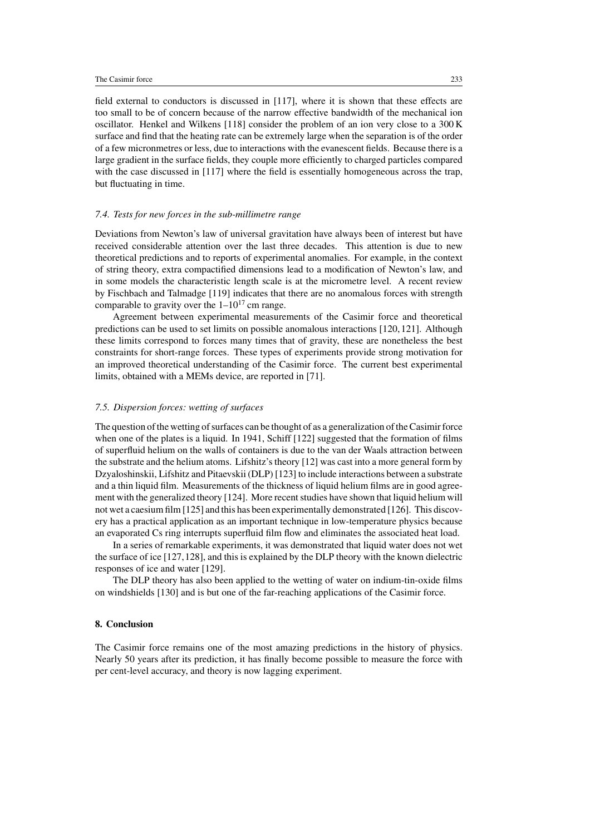field external to conductors is discussed in [117], where it is shown that these effects are too small to be of concern because of the narrow effective bandwidth of the mechanical ion oscillator. Henkel and Wilkens [118] consider the problem of an ion very close to a 300 K surface and find that the heating rate can be extremely large when the separation is of the order of a few micronmetres or less, due to interactions with the evanescent fields. Because there is a large gradient in the surface fields, they couple more efficiently to charged particles compared with the case discussed in [117] where the field is essentially homogeneous across the trap, but fluctuating in time.

## *7.4. Tests for new forces in the sub-millimetre range*

Deviations from Newton's law of universal gravitation have always been of interest but have received considerable attention over the last three decades. This attention is due to new theoretical predictions and to reports of experimental anomalies. For example, in the context of string theory, extra compactified dimensions lead to a modification of Newton's law, and in some models the characteristic length scale is at the micrometre level. A recent review by Fischbach and Talmadge [119] indicates that there are no anomalous forces with strength comparable to gravity over the  $1-10^{17}$  cm range.

Agreement between experimental measurements of the Casimir force and theoretical predictions can be used to set limits on possible anomalous interactions [120, 121]. Although these limits correspond to forces many times that of gravity, these are nonetheless the best constraints for short-range forces. These types of experiments provide strong motivation for an improved theoretical understanding of the Casimir force. The current best experimental limits, obtained with a MEMs device, are reported in [71].

#### *7.5. Dispersion forces: wetting of surfaces*

The question of the wetting of surfaces can be thought of as a generalization of the Casimir force when one of the plates is a liquid. In 1941, Schiff [122] suggested that the formation of films of superfluid helium on the walls of containers is due to the van der Waals attraction between the substrate and the helium atoms. Lifshitz's theory [12] was cast into a more general form by Dzyaloshinskii, Lifshitz and Pitaevskii (DLP) [123] to include interactions between a substrate and a thin liquid film. Measurements of the thickness of liquid helium films are in good agreement with the generalized theory [124]. More recent studies have shown that liquid helium will not wet a caesium film [125] and this has been experimentally demonstrated [126]. This discovery has a practical application as an important technique in low-temperature physics because an evaporated Cs ring interrupts superfluid film flow and eliminates the associated heat load.

In a series of remarkable experiments, it was demonstrated that liquid water does not wet the surface of ice [127,128], and this is explained by the DLP theory with the known dielectric responses of ice and water [129].

The DLP theory has also been applied to the wetting of water on indium-tin-oxide films on windshields [130] and is but one of the far-reaching applications of the Casimir force.

#### **8. Conclusion**

The Casimir force remains one of the most amazing predictions in the history of physics. Nearly 50 years after its prediction, it has finally become possible to measure the force with per cent-level accuracy, and theory is now lagging experiment.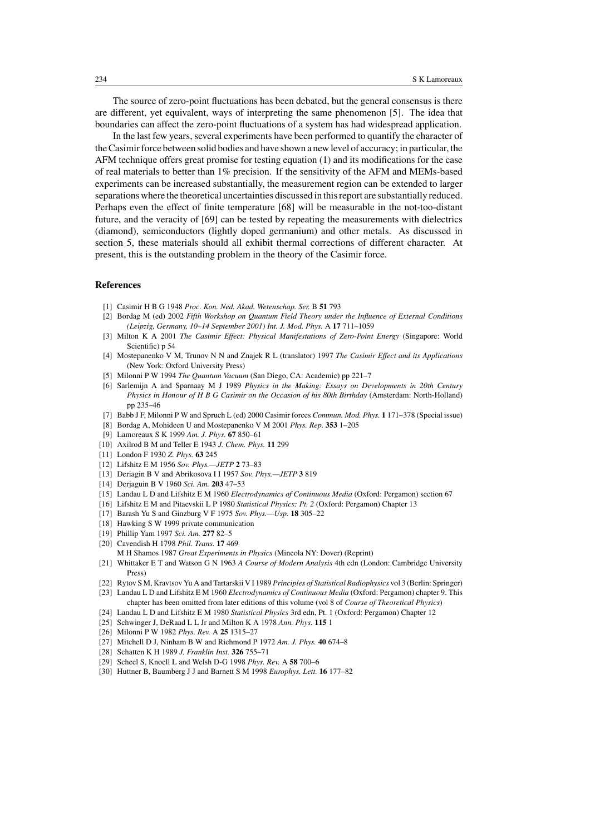The source of zero-point fluctuations has been debated, but the general consensus is there are different, yet equivalent, ways of interpreting the same phenomenon [5]. The idea that boundaries can affect the zero-point fluctuations of a system has had widespread application.

In the last few years, several experiments have been performed to quantify the character of the Casimir force between solid bodies and have shown a new level of accuracy; in particular, the AFM technique offers great promise for testing equation (1) and its modifications for the case of real materials to better than 1% precision. If the sensitivity of the AFM and MEMs-based experiments can be increased substantially, the measurement region can be extended to larger separations where the theoretical uncertainties discussed in this report are substantially reduced. Perhaps even the effect of finite temperature [68] will be measurable in the not-too-distant future, and the veracity of [69] can be tested by repeating the measurements with dielectrics (diamond), semiconductors (lightly doped germanium) and other metals. As discussed in section 5, these materials should all exhibit thermal corrections of different character. At present, this is the outstanding problem in the theory of the Casimir force.

# **References**

- [1] CasimirHBG 1948 *Proc. Kon. Ned. Akad. Wetenschap. Ser.* B **51** 793
- [2] Bordag M (ed) 2002 *Fifth Workshop on Quantum Field Theory under the Influence of External Conditions (Leipzig, Germany, 10–14 September 2001) Int. J. Mod. Phys.* A **17** 711–1059
- [3] Milton K A 2001 *The Casimir Effect: Physical Manifestations of Zero-Point Energy* (Singapore: World Scientific) p 54
- [4] Mostepanenko V M, Trunov N N and Znajek R L (translator) 1997 *The Casimir Effect and its Applications* (New York: Oxford University Press)
- [5] Milonni P W 1994 *The Quantum Vacuum* (San Diego, CA: Academic) pp 221–7
- [6] Sarlemijn A and Sparnaay M J 1989 *Physics in the Making: Essays on Developments in 20th Century Physics in Honour ofHBG Casimir on the Occasion of his 80th Birthday* (Amsterdam: North-Holland) pp 235–46
- [7] Babb J F, Milonni P W and Spruch L (ed) 2000 Casimir forces *Commun. Mod. Phys.* **1** 171–378 (Special issue)
- [8] Bordag A, Mohideen U and Mostepanenko V M 2001 *Phys. Rep.* **353** 1–205
- [9] Lamoreaux S K 1999 *Am. J. Phys.* **67** 850–61
- [10] Axilrod B M and Teller E 1943 *J. Chem. Phys.* **11** 299
- [11] London F 1930 *Z. Phys.* **63** 245
- [12] Lifshitz E M 1956 *Sov. Phys.—JETP* **2** 73–83
- [13] Deriagin B V and Abrikosova I I 1957 *Sov. Phys.—JETP* **3** 819
- [14] Derjaguin B V 1960 *Sci. Am.* **203** 47–53
- [15] Landau L D and Lifshitz E M 1960 *Electrodynamics of Continuous Media* (Oxford: Pergamon) section 67
- [16] Lifshitz E M and Pitaevskii L P 1980 *Statistical Physics: Pt. 2* (Oxford: Pergamon) Chapter 13
- [17] Barash Yu S and Ginzburg V F 1975 *Sov. Phys.—Usp.* **18** 305–22
- [18] Hawking S W 1999 private communication
- [19] Phillip Yam 1997 *Sci. Am.* **277** 82–5
- [20] Cavendish H 1798 *Phil. Trans.* **17** 469
- M H Shamos 1987 *Great Experiments in Physics* (Mineola NY: Dover) (Reprint)
- [21] Whittaker E T and Watson G N 1963 *A Course of Modern Analysis* 4th edn (London: Cambridge University Press)
- [22] Rytov S M, Kravtsov Yu A and Tartarskii V I 1989 *Principles of Statistical Radiophysics* vol 3 (Berlin: Springer)
- [23] Landau L D and Lifshitz E M 1960 *Electrodynamics of Continuous Media* (Oxford: Pergamon) chapter 9. This chapter has been omitted from later editions of this volume (vol 8 of *Course of Theoretical Physics*)
- [24] Landau L D and Lifshitz E M 1980 *Statistical Physics* 3rd edn, Pt. 1 (Oxford: Pergamon) Chapter 12
- [25] Schwinger J, DeRaad L L Jr and Milton K A 1978 *Ann. Phys.* **115** 1
- [26] Milonni P W 1982 *Phys. Rev.* A **25** 1315–27
- [27] Mitchell D J, Ninham B W and Richmond P 1972 *Am. J. Phys.* **40** 674–8
- [28] Schatten K H 1989 *J. Franklin Inst.* **326** 755–71
- [29] Scheel S, Knoell L and Welsh D-G 1998 *Phys. Rev.* A **58** 700–6
- [30] Huttner B, Baumberg J J and Barnett S M 1998 *Europhys. Lett.* **16** 177–82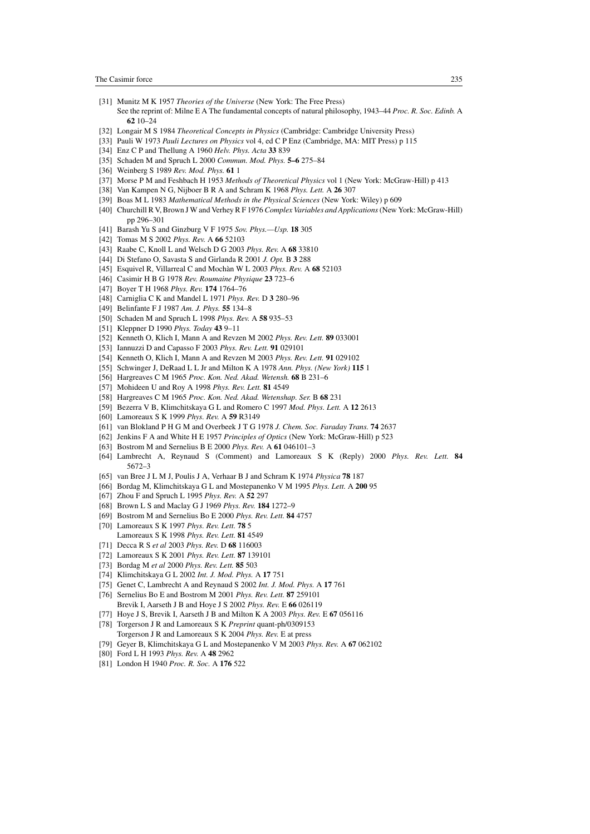- [31] Munitz M K 1957 *Theories of the Universe* (New York: The Free Press) See the reprint of: Milne E A The fundamental concepts of natural philosophy, 1943–44 *Proc. R. Soc. Edinb.* A **62** 10–24
- [32] Longair M S 1984 *Theoretical Concepts in Physics* (Cambridge: Cambridge University Press)
- [33] Pauli W 1973 *Pauli Lectures on Physics* vol 4, ed C P Enz (Cambridge, MA: MIT Press) p 115
- [34] Enz C P and Thellung A 1960 *Helv. Phys. Acta* **33** 839
- [35] Schaden M and Spruch L 2000 *Commun. Mod. Phys.* **5–6** 275–84
- [36] Weinberg S 1989 *Rev. Mod. Phys.* **61** 1
- [37] Morse P M and Feshbach H 1953 *Methods of Theoretical Physics* vol 1 (New York: McGraw-Hill) p 413
- [38] Van Kampen N G, Nijboer B R A and Schram K 1968 *Phys. Lett.* A **26** 307
- [39] Boas M L 1983 *Mathematical Methods in the Physical Sciences* (New York: Wiley) p 609
- [40] Churchill R V, Brown J W and Verhey R F 1976 *Complex Variables and Applications*(New York: McGraw-Hill) pp 296–301
- [41] Barash Yu S and Ginzburg V F 1975 *Sov. Phys.—Usp.* **18** 305
- [42] Tomas M S 2002 *Phys. Rev.* A **66** 52103
- [43] Raabe C, Knoll L and Welsch D G 2003 *Phys. Rev.* A **68** 33810
- [44] Di Stefano O, Savasta S and Girlanda R 2001 *J. Opt.* B **3** 288
- [45] Esquivel R, Villarreal C and Mochan W L 2003 Phys. Rev. A 68 52103
- [46] CasimirHBG 1978 *Rev. Roumaine Physique* **23** 723–6
- [47] Boyer T H 1968 *Phys. Rev.* **174** 1764–76
- [48] Carniglia C K and Mandel L 1971 *Phys. Rev.* D **3** 280–96
- [49] Belinfante F J 1987 *Am. J. Phys.* **55** 134–8
- [50] Schaden M and Spruch L 1998 *Phys. Rev.* A **58** 935–53
- [51] Kleppner D 1990 *Phys. Today* **43** 9–11
- [52] Kenneth O, Klich I, Mann A and Revzen M 2002 *Phys. Rev. Lett.* **89** 033001
- [53] Iannuzzi D and Capasso F 2003 *Phys. Rev. Lett.* **91** 029101
- [54] Kenneth O, Klich I, Mann A and Revzen M 2003 *Phys. Rev. Lett.* **91** 029102
- [55] Schwinger J, DeRaad L L Jr and Milton K A 1978 *Ann. Phys. (New York)* **115** 1
- [56] Hargreaves C M 1965 *Proc. Kon. Ned. Akad. Wetensh.* **68** B 231–6
- [57] Mohideen U and Roy A 1998 *Phys. Rev. Lett.* **81** 4549
- [58] Hargreaves C M 1965 *Proc. Kon. Ned. Akad. Wetenshap. Ser.* B **68** 231
- [59] Bezerra V B, Klimchitskaya G L and Romero C 1997 *Mod. Phys. Lett.* A **12** 2613
- [60] Lamoreaux S K 1999 *Phys. Rev.* A **59** R3149
- [61] van Blokland P H G M and OverbeekJTG 1978 *J. Chem. Soc. Faraday Trans.* **74** 2637
- [62] Jenkins F A and White H E 1957 *Principles of Optics* (New York: McGraw-Hill) p 523
- [63] Bostrom M and Sernelius B E 2000 *Phys. Rev.* A **61** 046101–3
- [64] Lambrecht A, Reynaud S (Comment) and Lamoreaux S K (Reply) 2000 *Phys. Rev. Lett.* **84** 5672–3
- [65] van Bree J L M J, Poulis J A, Verhaar B J and Schram K 1974 *Physica* **78** 187
- [66] Bordag M, Klimchitskaya G L and Mostepanenko V M 1995 *Phys. Lett.* A **200** 95
- [67] Zhou F and Spruch L 1995 *Phys. Rev.* A **52** 297
- [68] Brown L S and Maclay G J 1969 *Phys. Rev.* **184** 1272–9
- [69] Bostrom M and Sernelius Bo E 2000 *Phys. Rev. Lett.* **84** 4757
- [70] Lamoreaux S K 1997 *Phys. Rev. Lett.* **78** 5
- Lamoreaux S K 1998 *Phys. Rev. Lett.* **81** 4549
- [71] Decca R S *et al* 2003 *Phys. Rev.* D **68** 116003
- [72] Lamoreaux S K 2001 *Phys. Rev. Lett.* **87** 139101
- [73] Bordag M *et al* 2000 *Phys. Rev. Lett.* **85** 503
- [74] Klimchitskaya G L 2002 *Int. J. Mod. Phys.* A **17** 751
- [75] Genet C, Lambrecht A and Reynaud S 2002 *Int. J. Mod. Phys.* A **17** 761
- [76] Sernelius Bo E and Bostrom M 2001 *Phys. Rev. Lett.* **87** 259101 Brevik I, Aarseth J B and Hoye J S 2002 *Phys. Rev.* E **66** 026119
- [77] Hoye J S, Brevik I, Aarseth J B and Milton K A 2003 *Phys. Rev.* E **67** 056116
- [78] Torgerson J R and Lamoreaux S K *Preprint* quant-ph/0309153 Torgerson J R and Lamoreaux S K 2004 *Phys. Rev.* E at press
- [79] Geyer B, Klimchitskaya G L and Mostepanenko V M 2003 *Phys. Rev.* A **67** 062102
- [80] Ford L H 1993 *Phys. Rev.* A **48** 2962
- [81] London H 1940 *Proc. R. Soc.* A **176** 522